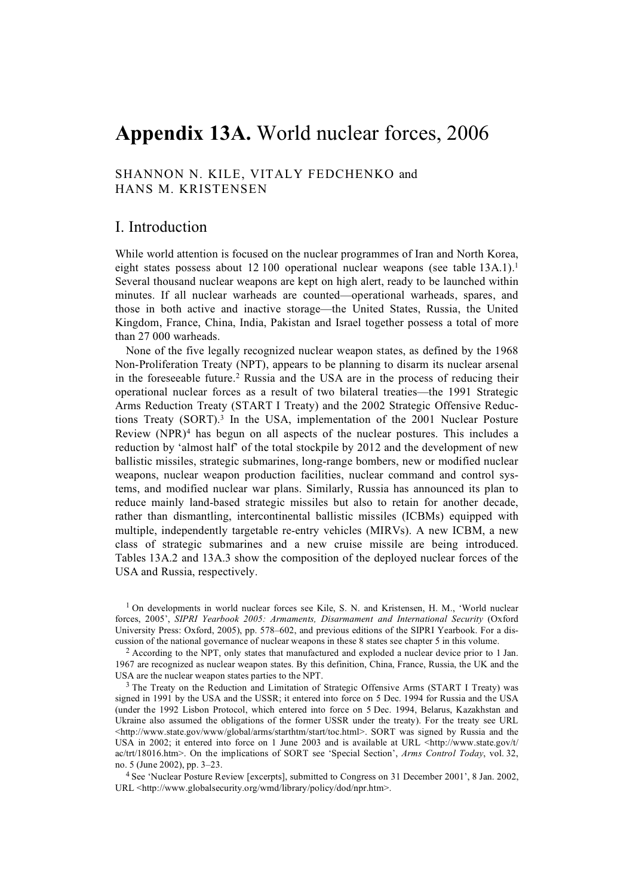# **Appendix 13A.** World nuclear forces, 2006

SHANNON N. KILE, VITALY FEDCHENKO and HANS M. KRISTENSEN

## I. Introduction

While world attention is focused on the nuclear programmes of Iran and North Korea, eight states possess about 12 100 operational nuclear weapons (see table  $13A.1$ ).<sup>1</sup> Several thousand nuclear weapons are kept on high alert, ready to be launched within minutes. If all nuclear warheads are counted—operational warheads, spares, and those in both active and inactive storage—the United States, Russia, the United Kingdom, France, China, India, Pakistan and Israel together possess a total of more than 27 000 warheads.

None of the five legally recognized nuclear weapon states, as defined by the 1968 Non-Proliferation Treaty (NPT), appears to be planning to disarm its nuclear arsenal in the foreseeable future.2 Russia and the USA are in the process of reducing their operational nuclear forces as a result of two bilateral treaties—the 1991 Strategic Arms Reduction Treaty (START I Treaty) and the 2002 Strategic Offensive Reductions Treaty (SORT).3 In the USA, implementation of the 2001 Nuclear Posture Review (NPR)4 has begun on all aspects of the nuclear postures. This includes a reduction by 'almost half' of the total stockpile by 2012 and the development of new ballistic missiles, strategic submarines, long-range bombers, new or modified nuclear weapons, nuclear weapon production facilities, nuclear command and control systems, and modified nuclear war plans. Similarly, Russia has announced its plan to reduce mainly land-based strategic missiles but also to retain for another decade, rather than dismantling, intercontinental ballistic missiles (ICBMs) equipped with multiple, independently targetable re-entry vehicles (MIRVs). A new ICBM, a new class of strategic submarines and a new cruise missile are being introduced. Tables 13A.2 and 13A.3 show the composition of the deployed nuclear forces of the USA and Russia, respectively.

<sup>1</sup> On developments in world nuclear forces see Kile, S. N. and Kristensen, H. M., 'World nuclear forces, 2005', *SIPRI Yearbook 2005: Armaments, Disarmament and International Security* (Oxford University Press: Oxford, 2005), pp. 578–602, and previous editions of the SIPRI Yearbook. For a discussion of the national governance of nuclear weapons in these 8 states see chapter 5 in this volume.

2 According to the NPT, only states that manufactured and exploded a nuclear device prior to 1 Jan. 1967 are recognized as nuclear weapon states. By this definition, China, France, Russia, the UK and the USA are the nuclear weapon states parties to the NPT.

<sup>3</sup> The Treaty on the Reduction and Limitation of Strategic Offensive Arms (START I Treaty) was signed in 1991 by the USA and the USSR; it entered into force on 5 Dec. 1994 for Russia and the USA (under the 1992 Lisbon Protocol, which entered into force on 5 Dec. 1994, Belarus, Kazakhstan and Ukraine also assumed the obligations of the former USSR under the treaty). For the treaty see URL  $\langle$ http://www.state.gov/www/global/arms/starthtm/start/toc.html>. SORT was signed by Russia and the USA in 2002; it entered into force on 1 June 2003 and is available at URL  $\langle$ http://www.state.gov/t/ ac/trt/18016.htm>. On the implications of SORT see 'Special Section', *Arms Control Today*, vol. 32, no. 5 (June 2002), pp. 3–23.

<sup>4</sup> See 'Nuclear Posture Review [excerpts], submitted to Congress on 31 December 2001', 8 Jan. 2002, URL <http://www.globalsecurity.org/wmd/library/policy/dod/npr.htm>.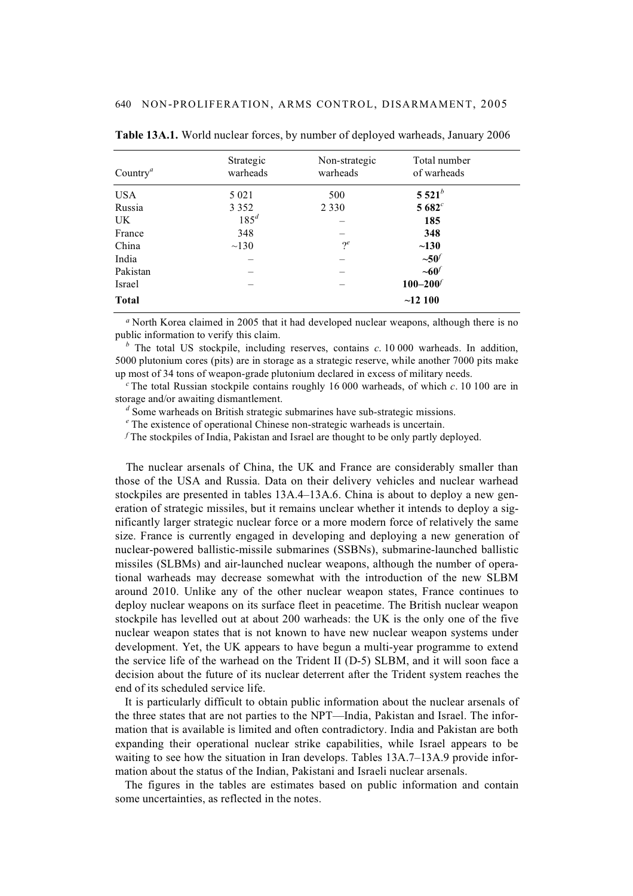| Country <sup><math>a</math></sup> | Strategic<br>warheads | Non-strategic<br>warheads | Total number<br>of warheads |
|-----------------------------------|-----------------------|---------------------------|-----------------------------|
| <b>USA</b>                        | 5 0 2 1               | 500                       | 5 5 $21^b$                  |
| Russia                            | 3 3 5 2               | 2 3 3 0                   | 5 682 $^c$                  |
| UK.                               | $185^d$               |                           | 185                         |
| France                            | 348                   |                           | 348                         |
| China                             | $\sim$ 130            | $\gamma^e$                | ~130                        |
| India                             |                       |                           | $\sim 50$                   |
| Pakistan                          |                       |                           | $\sim 60$                   |
| Israel                            |                       |                           | $100 - 200$                 |
| <b>Total</b>                      |                       |                           | ~12~100                     |

**Table 13A.1.** World nuclear forces, by number of deployed warheads, January 2006

*<sup>a</sup>* North Korea claimed in 2005 that it had developed nuclear weapons, although there is no public information to verify this claim.

*b* The total US stockpile, including reserves, contains *c*. 10 000 warheads. In addition, 5000 plutonium cores (pits) are in storage as a strategic reserve, while another 7000 pits make up most of 34 tons of weapon-grade plutonium declared in excess of military needs.

*<sup>c</sup>*The total Russian stockpile contains roughly 16 000 warheads, of which *c*. 10 100 are in storage and/or awaiting dismantlement.

*d* Some warheads on British strategic submarines have sub-strategic missions.

*e* The existence of operational Chinese non-strategic warheads is uncertain.

*f* The stockpiles of India, Pakistan and Israel are thought to be only partly deployed.

The nuclear arsenals of China, the UK and France are considerably smaller than those of the USA and Russia. Data on their delivery vehicles and nuclear warhead stockpiles are presented in tables 13A.4–13A.6. China is about to deploy a new generation of strategic missiles, but it remains unclear whether it intends to deploy a significantly larger strategic nuclear force or a more modern force of relatively the same size. France is currently engaged in developing and deploying a new generation of nuclear-powered ballistic-missile submarines (SSBNs), submarine-launched ballistic missiles (SLBMs) and air-launched nuclear weapons, although the number of operational warheads may decrease somewhat with the introduction of the new SLBM around 2010. Unlike any of the other nuclear weapon states, France continues to deploy nuclear weapons on its surface fleet in peacetime. The British nuclear weapon stockpile has levelled out at about 200 warheads: the UK is the only one of the five nuclear weapon states that is not known to have new nuclear weapon systems under development. Yet, the UK appears to have begun a multi-year programme to extend the service life of the warhead on the Trident II (D-5) SLBM, and it will soon face a decision about the future of its nuclear deterrent after the Trident system reaches the end of its scheduled service life.

It is particularly difficult to obtain public information about the nuclear arsenals of the three states that are not parties to the NPT—India, Pakistan and Israel. The information that is available is limited and often contradictory. India and Pakistan are both expanding their operational nuclear strike capabilities, while Israel appears to be waiting to see how the situation in Iran develops. Tables 13A.7–13A.9 provide information about the status of the Indian, Pakistani and Israeli nuclear arsenals.

The figures in the tables are estimates based on public information and contain some uncertainties, as reflected in the notes.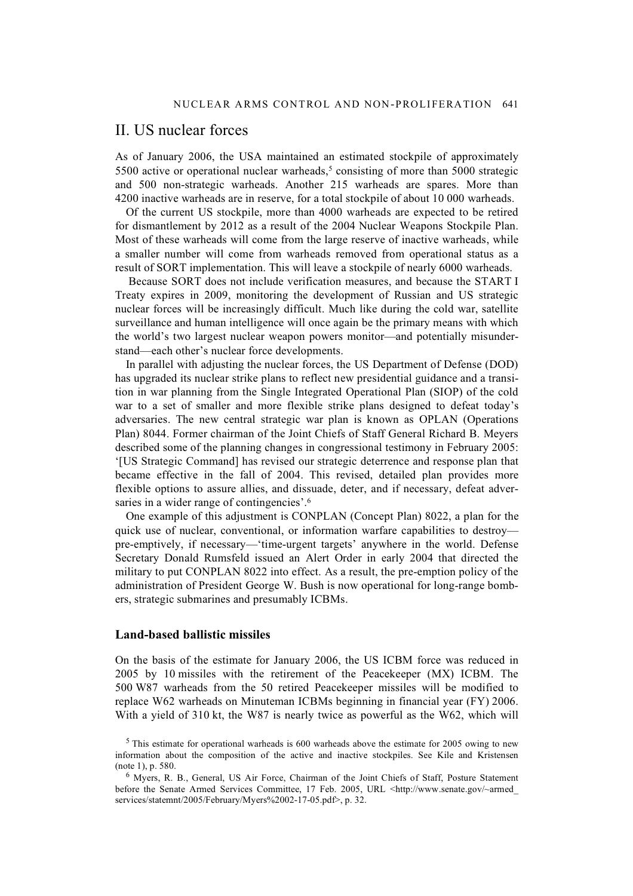# II. US nuclear forces

As of January 2006, the USA maintained an estimated stockpile of approximately 5500 active or operational nuclear warheads,<sup>5</sup> consisting of more than 5000 strategic and 500 non-strategic warheads. Another 215 warheads are spares. More than 4200 inactive warheads are in reserve, for a total stockpile of about 10 000 warheads.

Of the current US stockpile, more than 4000 warheads are expected to be retired for dismantlement by 2012 as a result of the 2004 Nuclear Weapons Stockpile Plan. Most of these warheads will come from the large reserve of inactive warheads, while a smaller number will come from warheads removed from operational status as a result of SORT implementation. This will leave a stockpile of nearly 6000 warheads.

 Because SORT does not include verification measures, and because the START I Treaty expires in 2009, monitoring the development of Russian and US strategic nuclear forces will be increasingly difficult. Much like during the cold war, satellite surveillance and human intelligence will once again be the primary means with which the world's two largest nuclear weapon powers monitor—and potentially misunderstand—each other's nuclear force developments.

In parallel with adjusting the nuclear forces, the US Department of Defense (DOD) has upgraded its nuclear strike plans to reflect new presidential guidance and a transition in war planning from the Single Integrated Operational Plan (SIOP) of the cold war to a set of smaller and more flexible strike plans designed to defeat today's adversaries. The new central strategic war plan is known as OPLAN (Operations Plan) 8044. Former chairman of the Joint Chiefs of Staff General Richard B. Meyers described some of the planning changes in congressional testimony in February 2005: '[US Strategic Command] has revised our strategic deterrence and response plan that became effective in the fall of 2004. This revised, detailed plan provides more flexible options to assure allies, and dissuade, deter, and if necessary, defeat adversaries in a wider range of contingencies'.<sup>6</sup>

One example of this adjustment is CONPLAN (Concept Plan) 8022, a plan for the quick use of nuclear, conventional, or information warfare capabilities to destroy pre-emptively, if necessary—'time-urgent targets' anywhere in the world. Defense Secretary Donald Rumsfeld issued an Alert Order in early 2004 that directed the military to put CONPLAN 8022 into effect. As a result, the pre-emption policy of the administration of President George W. Bush is now operational for long-range bombers, strategic submarines and presumably ICBMs.

### **Land-based ballistic missiles**

On the basis of the estimate for January 2006, the US ICBM force was reduced in 2005 by 10 missiles with the retirement of the Peacekeeper (MX) ICBM. The 500 W87 warheads from the 50 retired Peacekeeper missiles will be modified to replace W62 warheads on Minuteman ICBMs beginning in financial year (FY) 2006. With a yield of 310 kt, the W87 is nearly twice as powerful as the W62, which will

<sup>5</sup> This estimate for operational warheads is 600 warheads above the estimate for 2005 owing to new information about the composition of the active and inactive stockpiles. See Kile and Kristensen (note 1), p. 580.

<sup>6</sup> Myers, R. B., General, US Air Force, Chairman of the Joint Chiefs of Staff, Posture Statement before the Senate Armed Services Committee, 17 Feb. 2005, URL <http://www.senate.gov/~armed services/statemnt/2005/February/Myers%2002-17-05.pdf>, p. 32.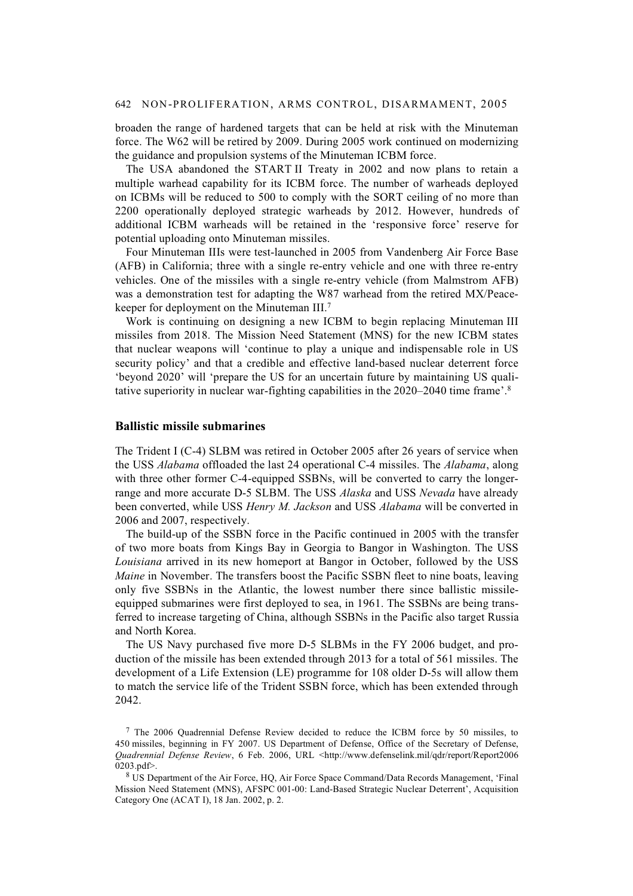#### 642 NON-PROLIFERATION, ARMS CONTROL, DISARMAMENT, 2005

broaden the range of hardened targets that can be held at risk with the Minuteman force. The W62 will be retired by 2009. During 2005 work continued on modernizing the guidance and propulsion systems of the Minuteman ICBM force.

The USA abandoned the START II Treaty in 2002 and now plans to retain a multiple warhead capability for its ICBM force. The number of warheads deployed on ICBMs will be reduced to 500 to comply with the SORT ceiling of no more than 2200 operationally deployed strategic warheads by 2012. However, hundreds of additional ICBM warheads will be retained in the 'responsive force' reserve for potential uploading onto Minuteman missiles.

Four Minuteman IIIs were test-launched in 2005 from Vandenberg Air Force Base (AFB) in California; three with a single re-entry vehicle and one with three re-entry vehicles. One of the missiles with a single re-entry vehicle (from Malmstrom AFB) was a demonstration test for adapting the W87 warhead from the retired MX/Peacekeeper for deployment on the Minuteman III.7

Work is continuing on designing a new ICBM to begin replacing Minuteman III missiles from 2018. The Mission Need Statement (MNS) for the new ICBM states that nuclear weapons will 'continue to play a unique and indispensable role in US security policy' and that a credible and effective land-based nuclear deterrent force 'beyond 2020' will 'prepare the US for an uncertain future by maintaining US qualitative superiority in nuclear war-fighting capabilities in the 2020–2040 time frame'.8

### **Ballistic missile submarines**

The Trident I (C-4) SLBM was retired in October 2005 after 26 years of service when the USS *Alabama* offloaded the last 24 operational C-4 missiles. The *Alabama*, along with three other former C-4-equipped SSBNs, will be converted to carry the longerrange and more accurate D-5 SLBM. The USS *Alaska* and USS *Nevada* have already been converted, while USS *Henry M. Jackson* and USS *Alabama* will be converted in 2006 and 2007, respectively.

The build-up of the SSBN force in the Pacific continued in 2005 with the transfer of two more boats from Kings Bay in Georgia to Bangor in Washington. The USS *Louisiana* arrived in its new homeport at Bangor in October, followed by the USS *Maine* in November. The transfers boost the Pacific SSBN fleet to nine boats, leaving only five SSBNs in the Atlantic, the lowest number there since ballistic missileequipped submarines were first deployed to sea, in 1961. The SSBNs are being transferred to increase targeting of China, although SSBNs in the Pacific also target Russia and North Korea.

The US Navy purchased five more D-5 SLBMs in the FY 2006 budget, and production of the missile has been extended through 2013 for a total of 561 missiles. The development of a Life Extension (LE) programme for 108 older D-5s will allow them to match the service life of the Trident SSBN force, which has been extended through 2042.

<sup>7</sup> The 2006 Quadrennial Defense Review decided to reduce the ICBM force by 50 missiles, to 450 missiles, beginning in FY 2007. US Department of Defense, Office of the Secretary of Defense, Quadrennial Defense Review, 6 Feb. 2006, URL <http://www.defenselink.mil/qdr/report/Report2006  $0203$  ndf>.

<sup>8</sup> US Department of the Air Force, HQ, Air Force Space Command/Data Records Management, 'Final Mission Need Statement (MNS), AFSPC 001-00: Land-Based Strategic Nuclear Deterrent', Acquisition Category One (ACAT I), 18 Jan. 2002, p. 2.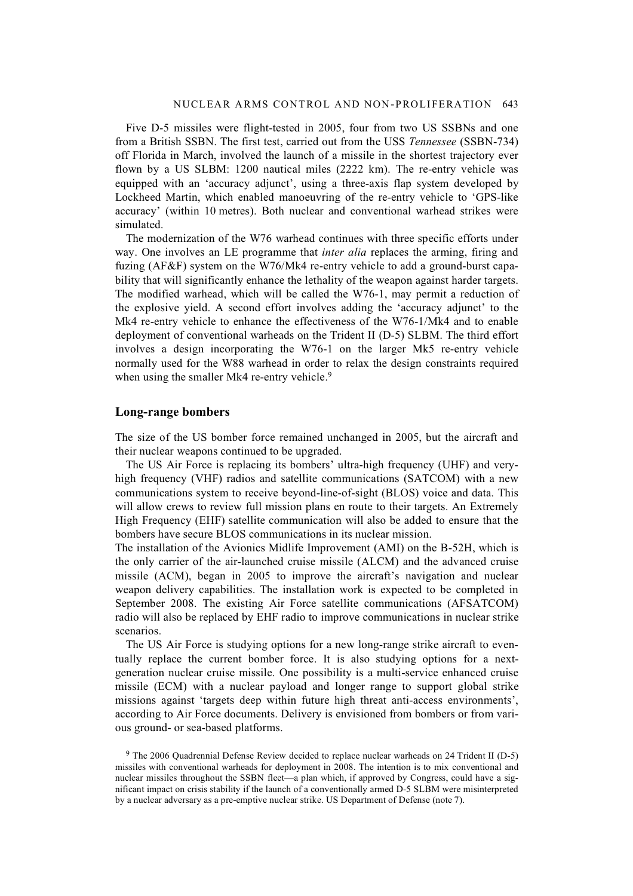Five D-5 missiles were flight-tested in 2005, four from two US SSBNs and one from a British SSBN. The first test, carried out from the USS *Tennessee* (SSBN-734) off Florida in March, involved the launch of a missile in the shortest trajectory ever flown by a US SLBM: 1200 nautical miles (2222 km). The re-entry vehicle was equipped with an 'accuracy adjunct', using a three-axis flap system developed by Lockheed Martin, which enabled manoeuvring of the re-entry vehicle to 'GPS-like accuracy' (within 10 metres). Both nuclear and conventional warhead strikes were simulated.

The modernization of the W76 warhead continues with three specific efforts under way. One involves an LE programme that *inter alia* replaces the arming, firing and fuzing (AF&F) system on the W76/Mk4 re-entry vehicle to add a ground-burst capability that will significantly enhance the lethality of the weapon against harder targets. The modified warhead, which will be called the W76-1, may permit a reduction of the explosive yield. A second effort involves adding the 'accuracy adjunct' to the Mk4 re-entry vehicle to enhance the effectiveness of the W76-1/Mk4 and to enable deployment of conventional warheads on the Trident II (D-5) SLBM. The third effort involves a design incorporating the W76-1 on the larger Mk5 re-entry vehicle normally used for the W88 warhead in order to relax the design constraints required when using the smaller Mk4 re-entry vehicle.<sup>9</sup>

#### **Long-range bombers**

The size of the US bomber force remained unchanged in 2005, but the aircraft and their nuclear weapons continued to be upgraded.

The US Air Force is replacing its bombers' ultra-high frequency (UHF) and veryhigh frequency (VHF) radios and satellite communications (SATCOM) with a new communications system to receive beyond-line-of-sight (BLOS) voice and data. This will allow crews to review full mission plans en route to their targets. An Extremely High Frequency (EHF) satellite communication will also be added to ensure that the bombers have secure BLOS communications in its nuclear mission.

The installation of the Avionics Midlife Improvement (AMI) on the B-52H, which is the only carrier of the air-launched cruise missile (ALCM) and the advanced cruise missile (ACM), began in 2005 to improve the aircraft's navigation and nuclear weapon delivery capabilities. The installation work is expected to be completed in September 2008. The existing Air Force satellite communications (AFSATCOM) radio will also be replaced by EHF radio to improve communications in nuclear strike scenarios.

The US Air Force is studying options for a new long-range strike aircraft to eventually replace the current bomber force. It is also studying options for a nextgeneration nuclear cruise missile. One possibility is a multi-service enhanced cruise missile (ECM) with a nuclear payload and longer range to support global strike missions against 'targets deep within future high threat anti-access environments', according to Air Force documents. Delivery is envisioned from bombers or from various ground- or sea-based platforms.

<sup>9</sup> The 2006 Quadrennial Defense Review decided to replace nuclear warheads on 24 Trident II (D-5) missiles with conventional warheads for deployment in 2008. The intention is to mix conventional and nuclear missiles throughout the SSBN fleet—a plan which, if approved by Congress, could have a significant impact on crisis stability if the launch of a conventionally armed D-5 SLBM were misinterpreted by a nuclear adversary as a pre-emptive nuclear strike. US Department of Defense (note 7).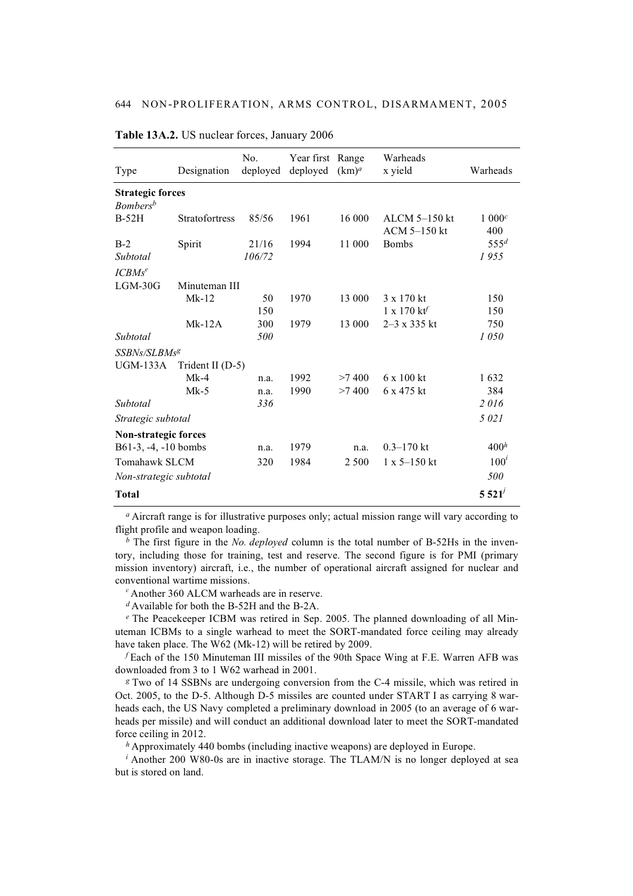| Type                                                   | Designation           | No.<br>deployed | Year first<br>deployed | Range<br>$(km)^a$ | Warheads<br>x yield                            | Warheads         |
|--------------------------------------------------------|-----------------------|-----------------|------------------------|-------------------|------------------------------------------------|------------------|
| <b>Strategic forces</b><br><b>Bombers</b> <sup>b</sup> |                       |                 |                        |                   |                                                |                  |
| $B-52H$                                                | <b>Stratofortress</b> | 85/56           | 1961                   | 16 000            | $ALCM$ 5-150 kt                                | 1~000c           |
| $B-2$                                                  | Spirit                | 21/16           | 1994                   | 11 000            | $ACM$ 5-150 kt<br><b>Bombs</b>                 | 400<br>$555^d$   |
| Subtotal                                               |                       | 106/72          |                        |                   |                                                | 1955             |
| $ICBMs^e$                                              |                       |                 |                        |                   |                                                |                  |
| $LGM-30G$                                              | Minuteman III         |                 |                        |                   |                                                |                  |
|                                                        | $Mk-12$               | 50              | 1970                   | 13 000            | 3 x 170 kt                                     | 150              |
|                                                        |                       | 150             |                        |                   | $1 \times 170$ kt <sup><math>\ell</math></sup> | 150              |
|                                                        | $Mk-12A$              | 300             | 1979                   | 13 000            | $2 - 3x335$ kt                                 | 750              |
| Subtotal                                               |                       | 500             |                        |                   |                                                | 1050             |
| SSBNs/SLBMsg                                           |                       |                 |                        |                   |                                                |                  |
| <b>UGM-133A</b>                                        | Trident II (D-5)      |                 |                        |                   |                                                |                  |
|                                                        | $Mk-4$                | n.a.            | 1992                   | >7400             | $6 \times 100$ kt                              | 1632             |
|                                                        | $Mk-5$                | n.a.            | 1990                   | >7400             | 6 x 475 kt                                     | 384              |
| Subtotal                                               |                       | 336             |                        |                   |                                                | 2016             |
| Strategic subtotal                                     |                       |                 |                        |                   |                                                | 5 0 2 1          |
| Non-strategic forces                                   |                       |                 |                        |                   |                                                |                  |
| B61-3, -4, -10 bombs                                   |                       | n.a.            | 1979                   | n.a.              | $0.3 - 170$ kt                                 | 400 <sup>h</sup> |
| Tomahawk SLCM                                          |                       | 320             | 1984                   | 2 500             | $1 \times 5 - 150$ kt                          | $100^i$          |
| Non-strategic subtotal                                 |                       |                 |                        |                   |                                                | 500              |
| <b>Total</b>                                           |                       |                 |                        |                   |                                                | $5521^{j}$       |

**Table 13A.2.** US nuclear forces, January 2006

*<sup>a</sup>* Aircraft range is for illustrative purposes only; actual mission range will vary according to flight profile and weapon loading.

*<sup>b</sup>* The first figure in the *No. deployed* column is the total number of B-52Hs in the inventory, including those for training, test and reserve. The second figure is for PMI (primary mission inventory) aircraft, i.e., the number of operational aircraft assigned for nuclear and conventional wartime missions.

<sup>c</sup> Another 360 ALCM warheads are in reserve.

*<sup>d</sup>*Available for both the B-52H and the B-2A.

*<sup>e</sup>* The Peacekeeper ICBM was retired in Sep. 2005. The planned downloading of all Minuteman ICBMs to a single warhead to meet the SORT-mandated force ceiling may already have taken place. The W62 (Mk-12) will be retired by 2009.

*<sup>f</sup>* Each of the 150 Minuteman III missiles of the 90th Space Wing at F.E. Warren AFB was downloaded from 3 to 1 W62 warhead in 2001.

*<sup>g</sup>* Two of 14 SSBNs are undergoing conversion from the C-4 missile, which was retired in Oct. 2005, to the D-5. Although D-5 missiles are counted under START I as carrying 8 warheads each, the US Navy completed a preliminary download in 2005 (to an average of 6 warheads per missile) and will conduct an additional download later to meet the SORT-mandated force ceiling in 2012.

*h* Approximately 440 bombs (including inactive weapons) are deployed in Europe.

<sup>*i*</sup> Another 200 W80-0s are in inactive storage. The TLAM/N is no longer deployed at sea but is stored on land.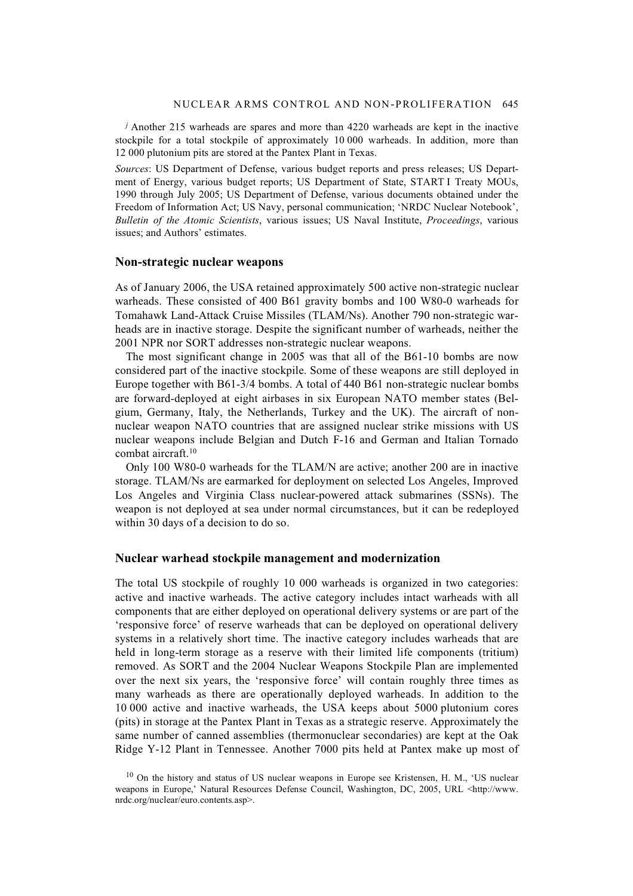*j* Another 215 warheads are spares and more than  $4220$  warheads are kept in the inactive stockpile for a total stockpile of approximately 10 000 warheads. In addition, more than 12 000 plutonium pits are stored at the Pantex Plant in Texas.

*Sources*: US Department of Defense, various budget reports and press releases; US Department of Energy, various budget reports; US Department of State, START I Treaty MOUs, 1990 through July 2005; US Department of Defense, various documents obtained under the Freedom of Information Act; US Navy, personal communication; 'NRDC Nuclear Notebook', *Bulletin of the Atomic Scientists*, various issues; US Naval Institute, *Proceedings*, various issues; and Authors' estimates.

#### **Non-strategic nuclear weapons**

As of January 2006, the USA retained approximately 500 active non-strategic nuclear warheads. These consisted of 400 B61 gravity bombs and 100 W80-0 warheads for Tomahawk Land-Attack Cruise Missiles (TLAM/Ns). Another 790 non-strategic warheads are in inactive storage. Despite the significant number of warheads, neither the 2001 NPR nor SORT addresses non-strategic nuclear weapons.

The most significant change in 2005 was that all of the B61-10 bombs are now considered part of the inactive stockpile. Some of these weapons are still deployed in Europe together with B61-3/4 bombs. A total of 440 B61 non-strategic nuclear bombs are forward-deployed at eight airbases in six European NATO member states (Belgium, Germany, Italy, the Netherlands, Turkey and the UK). The aircraft of nonnuclear weapon NATO countries that are assigned nuclear strike missions with US nuclear weapons include Belgian and Dutch F-16 and German and Italian Tornado combat aircraft.10

Only 100 W80-0 warheads for the TLAM/N are active; another 200 are in inactive storage. TLAM/Ns are earmarked for deployment on selected Los Angeles, Improved Los Angeles and Virginia Class nuclear-powered attack submarines (SSNs). The weapon is not deployed at sea under normal circumstances, but it can be redeployed within 30 days of a decision to do so.

#### **Nuclear warhead stockpile management and modernization**

The total US stockpile of roughly 10 000 warheads is organized in two categories: active and inactive warheads. The active category includes intact warheads with all components that are either deployed on operational delivery systems or are part of the 'responsive force' of reserve warheads that can be deployed on operational delivery systems in a relatively short time. The inactive category includes warheads that are held in long-term storage as a reserve with their limited life components (tritium) removed. As SORT and the 2004 Nuclear Weapons Stockpile Plan are implemented over the next six years, the 'responsive force' will contain roughly three times as many warheads as there are operationally deployed warheads. In addition to the 10 000 active and inactive warheads, the USA keeps about 5000 plutonium cores (pits) in storage at the Pantex Plant in Texas as a strategic reserve. Approximately the same number of canned assemblies (thermonuclear secondaries) are kept at the Oak Ridge Y-12 Plant in Tennessee. Another 7000 pits held at Pantex make up most of

<sup>10</sup> On the history and status of US nuclear weapons in Europe see Kristensen, H. M., 'US nuclear weapons in Europe,' Natural Resources Defense Council, Washington, DC, 2005, URL <http://www. nrdc.org/nuclear/euro.contents.asp>.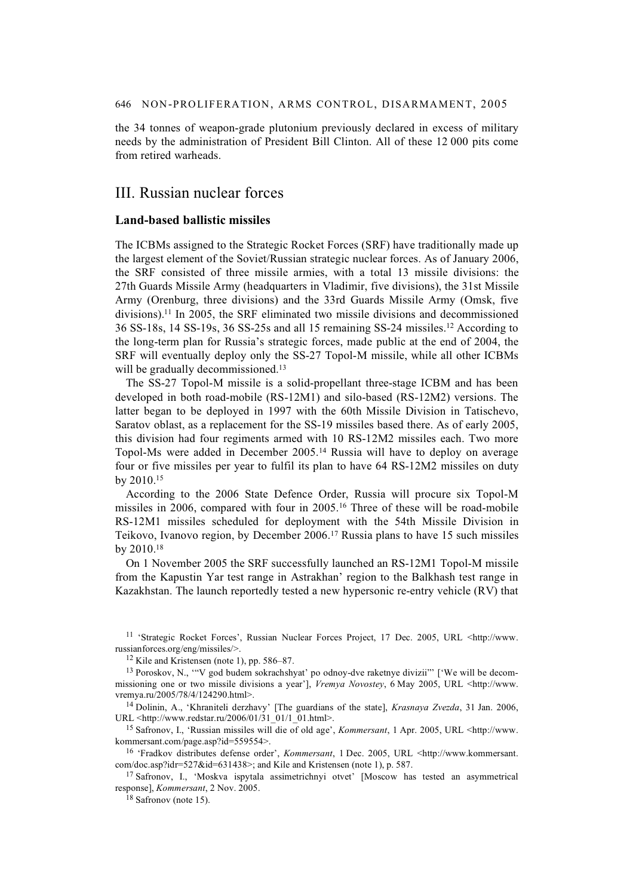#### 646 NON-PROLIFERATION, ARMS CONTROL, DISARMAMENT, 2005

the 34 tonnes of weapon-grade plutonium previously declared in excess of military needs by the administration of President Bill Clinton. All of these 12 000 pits come from retired warheads.

# III. Russian nuclear forces

### **Land-based ballistic missiles**

The ICBMs assigned to the Strategic Rocket Forces (SRF) have traditionally made up the largest element of the Soviet/Russian strategic nuclear forces. As of January 2006, the SRF consisted of three missile armies, with a total 13 missile divisions: the 27th Guards Missile Army (headquarters in Vladimir, five divisions), the 31st Missile Army (Orenburg, three divisions) and the 33rd Guards Missile Army (Omsk, five divisions).11 In 2005, the SRF eliminated two missile divisions and decommissioned 36 SS-18s, 14 SS-19s, 36 SS-25s and all 15 remaining SS-24 missiles.12 According to the long-term plan for Russia's strategic forces, made public at the end of 2004, the SRF will eventually deploy only the SS-27 Topol-M missile, while all other ICBMs will be gradually decommissioned.<sup>13</sup>

The SS-27 Topol-M missile is a solid-propellant three-stage ICBM and has been developed in both road-mobile (RS-12M1) and silo-based (RS-12M2) versions. The latter began to be deployed in 1997 with the 60th Missile Division in Tatischevo, Saratov oblast, as a replacement for the SS-19 missiles based there. As of early 2005, this division had four regiments armed with 10 RS-12M2 missiles each. Two more Topol-Ms were added in December 2005.14 Russia will have to deploy on average four or five missiles per year to fulfil its plan to have 64 RS-12M2 missiles on duty by 2010.15

According to the 2006 State Defence Order, Russia will procure six Topol-M missiles in 2006, compared with four in 2005.16 Three of these will be road-mobile RS-12M1 missiles scheduled for deployment with the 54th Missile Division in Teikovo, Ivanovo region, by December 2006.17 Russia plans to have 15 such missiles by 2010.18

On 1 November 2005 the SRF successfully launched an RS-12M1 Topol-M missile from the Kapustin Yar test range in Astrakhan' region to the Balkhash test range in Kazakhstan. The launch reportedly tested a new hypersonic re-entry vehicle (RV) that

<sup>&</sup>lt;sup>11</sup> 'Strategic Rocket Forces', Russian Nuclear Forces Project, 17 Dec. 2005, URL <http://www. russianforces.org/eng/missiles/>.

<sup>12</sup> Kile and Kristensen (note 1), pp. 586–87.

<sup>13</sup> Poroskov, N., '"V god budem sokrachshyat' po odnoy-dve raketnye divizii"' ['We will be decommissioning one or two missile divisions a year'], *Vremya Novostey*, 6 May 2005, URL <http://www. vremya.ru/2005/78/4/124290.html>.

<sup>14</sup> Dolinin, A., 'Khraniteli derzhavy' [The guardians of the state], *Krasnaya Zvezda*, 31 Jan. 2006, URL <http://www.redstar.ru/2006/01/31\_01/1\_01.html>.

<sup>&</sup>lt;sup>15</sup> Safronov, I., 'Russian missiles will die of old age', *Kommersant*, 1 Apr. 2005, URL <http://www. kommersant.com/page.asp?id=559554>.

<sup>&</sup>lt;sup>16</sup> 'Fradkov distributes defense order', *Kommersant*, 1 Dec. 2005, URL <http://www.kommersant. com/doc.asp?idr=527&id=631438>; and Kile and Kristensen (note 1), p. 587.

<sup>17</sup> Safronov, I., 'Moskva ispytala assimetrichnyi otvet' [Moscow has tested an asymmetrical response], *Kommersant*, 2 Nov. 2005.

<sup>18</sup> Safronov (note 15).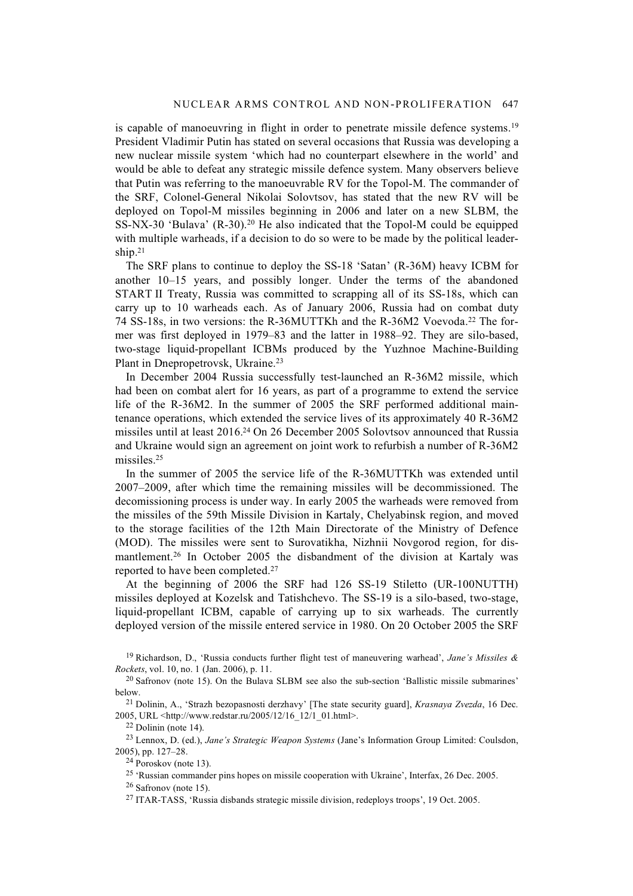is capable of manoeuvring in flight in order to penetrate missile defence systems.19 President Vladimir Putin has stated on several occasions that Russia was developing a new nuclear missile system 'which had no counterpart elsewhere in the world' and would be able to defeat any strategic missile defence system. Many observers believe that Putin was referring to the manoeuvrable RV for the Topol-M. The commander of the SRF, Colonel-General Nikolai Solovtsov, has stated that the new RV will be deployed on Topol-M missiles beginning in 2006 and later on a new SLBM, the SS-NX-30 'Bulava' (R-30).<sup>20</sup> He also indicated that the Topol-M could be equipped with multiple warheads, if a decision to do so were to be made by the political leadership.21

The SRF plans to continue to deploy the SS-18 'Satan' (R-36M) heavy ICBM for another 10–15 years, and possibly longer. Under the terms of the abandoned START II Treaty, Russia was committed to scrapping all of its SS-18s, which can carry up to 10 warheads each. As of January 2006, Russia had on combat duty 74 SS-18s, in two versions: the R-36MUTTKh and the R-36M2 Voevoda.22 The former was first deployed in 1979–83 and the latter in 1988–92. They are silo-based, two-stage liquid-propellant ICBMs produced by the Yuzhnoe Machine-Building Plant in Dnepropetrovsk, Ukraine.23

In December 2004 Russia successfully test-launched an R-36M2 missile, which had been on combat alert for 16 years, as part of a programme to extend the service life of the R-36M2. In the summer of 2005 the SRF performed additional maintenance operations, which extended the service lives of its approximately 40 R-36M2 missiles until at least 2016.24 On 26 December 2005 Solovtsov announced that Russia and Ukraine would sign an agreement on joint work to refurbish a number of R-36M2 missiles.25

In the summer of 2005 the service life of the R-36MUTTKh was extended until 2007–2009, after which time the remaining missiles will be decommissioned. The decomissioning process is under way. In early 2005 the warheads were removed from the missiles of the 59th Missile Division in Kartaly, Chelyabinsk region, and moved to the storage facilities of the 12th Main Directorate of the Ministry of Defence (MOD). The missiles were sent to Surovatikha, Nizhnii Novgorod region, for dismantlement.26 In October 2005 the disbandment of the division at Kartaly was reported to have been completed.27

At the beginning of 2006 the SRF had 126 SS-19 Stiletto (UR-100NUTTH) missiles deployed at Kozelsk and Tatishchevo. The SS-19 is a silo-based, two-stage, liquid-propellant ICBM, capable of carrying up to six warheads. The currently deployed version of the missile entered service in 1980. On 20 October 2005 the SRF

19 Richardson, D., 'Russia conducts further flight test of maneuvering warhead', *Jane's Missiles & Rockets*, vol. 10, no. 1 (Jan. 2006), p. 11.

 $20$  Safronov (note 15). On the Bulava SLBM see also the sub-section 'Ballistic missile submarines' below.

21 Dolinin, A., 'Strazh bezopasnosti derzhavy' [The state security guard], *Krasnaya Zvezda*, 16 Dec. 2005, URL <http://www.redstar.ru/2005/12/16\_12/1\_01.html>.

23 Lennox, D. (ed.), *Jane's Strategic Weapon Systems* (Jane's Information Group Limited: Coulsdon, 2005), pp. 127–28.

24 Poroskov (note 13).

25 'Russian commander pins hopes on missile cooperation with Ukraine', Interfax, 26 Dec. 2005.

26 Safronov (note 15).

27 ITAR-TASS, 'Russia disbands strategic missile division, redeploys troops', 19 Oct. 2005.

<sup>22</sup> Dolinin (note 14).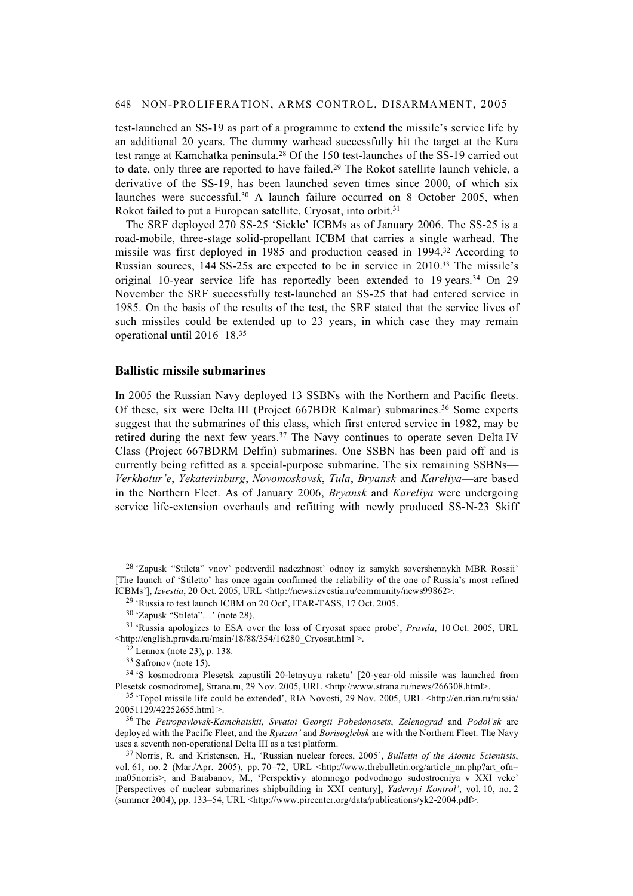test-launched an SS-19 as part of a programme to extend the missile's service life by an additional 20 years. The dummy warhead successfully hit the target at the Kura test range at Kamchatka peninsula.28 Of the 150 test-launches of the SS-19 carried out to date, only three are reported to have failed.29 The Rokot satellite launch vehicle, a derivative of the SS-19, has been launched seven times since 2000, of which six launches were successful.<sup>30</sup> A launch failure occurred on 8 October 2005, when Rokot failed to put a European satellite, Cryosat, into orbit.<sup>31</sup>

The SRF deployed 270 SS-25 'Sickle' ICBMs as of January 2006. The SS-25 is a road-mobile, three-stage solid-propellant ICBM that carries a single warhead. The missile was first deployed in 1985 and production ceased in 1994.32 According to Russian sources, 144 SS-25s are expected to be in service in 2010.33 The missile's original 10-year service life has reportedly been extended to 19 years.<sup>34</sup> On 29 November the SRF successfully test-launched an SS-25 that had entered service in 1985. On the basis of the results of the test, the SRF stated that the service lives of such missiles could be extended up to 23 years, in which case they may remain operational until 2016–18.35

### **Ballistic missile submarines**

In 2005 the Russian Navy deployed 13 SSBNs with the Northern and Pacific fleets. Of these, six were Delta III (Project 667BDR Kalmar) submarines.<sup>36</sup> Some experts suggest that the submarines of this class, which first entered service in 1982, may be retired during the next few years.37 The Navy continues to operate seven Delta IV Class (Project 667BDRM Delfin) submarines. One SSBN has been paid off and is currently being refitted as a special-purpose submarine. The six remaining SSBNs— *Verkhotur'e*, *Yekaterinburg*, *Novomoskovsk*, *Tula*, *Bryansk* and *Kareliya*—are based in the Northern Fleet. As of January 2006, *Bryansk* and *Kareliya* were undergoing service life-extension overhauls and refitting with newly produced SS-N-23 Skiff

28 'Zapusk "Stileta" vnov' podtverdil nadezhnost' odnoy iz samykh sovershennykh MBR Rossii' [The launch of 'Stiletto' has once again confirmed the reliability of the one of Russia's most refined ICBMs'], *Izvestia*, 20 Oct. 2005, URL <http://news.izvestia.ru/community/news99862>.

29 'Russia to test launch ICBM on 20 Oct', ITAR-TASS, 17 Oct. 2005.

31 'Russia apologizes to ESA over the loss of Cryosat space probe', *Pravda*, 10 Oct. 2005, URL <http://english.pravda.ru/main/18/88/354/16280\_Cryosat.html >.

32 Lennox (note 23), p. 138.

33 Safronov (note 15).

34 'S kosmodroma Plesetsk zapustili 20-letnyuyu raketu' [20-year-old missile was launched from Plesetsk cosmodrome], Strana.ru, 29 Nov. 2005, URL <http://www.strana.ru/news/266308.html>.

35 'Topol missile life could be extended', RIA Novosti, 29 Nov. 2005, URL <http://en.rian.ru/russia/ 20051129/42252655.html >.

36 The *Petropavlovsk-Kamchatskii*, *Svyatoi Georgii Pobedonosets*, *Zelenograd* and *Podol'sk* are deployed with the Pacific Fleet, and the *Ryazan'* and *Borisoglebsk* are with the Northern Fleet. The Navy uses a seventh non-operational Delta III as a test platform.

37 Norris, R. and Kristensen, H., 'Russian nuclear forces, 2005', *Bulletin of the Atomic Scientists*, vol. 61, no. 2 (Mar./Apr. 2005), pp. 70–72, URL <http://www.thebulletin.org/article\_nn.php?art\_ofn= ma05norris>; and Barabanov, M., 'Perspektivy atomnogo podvodnogo sudostroeniya v XXI veke' [Perspectives of nuclear submarines shipbuilding in XXI century], *Yadernyi Kontrol'*, vol. 10, no. 2 (summer 2004), pp. 133–54, URL <http://www.pircenter.org/data/publications/yk2-2004.pdf>.

<sup>30 &#</sup>x27;Zapusk "Stileta"…' (note 28).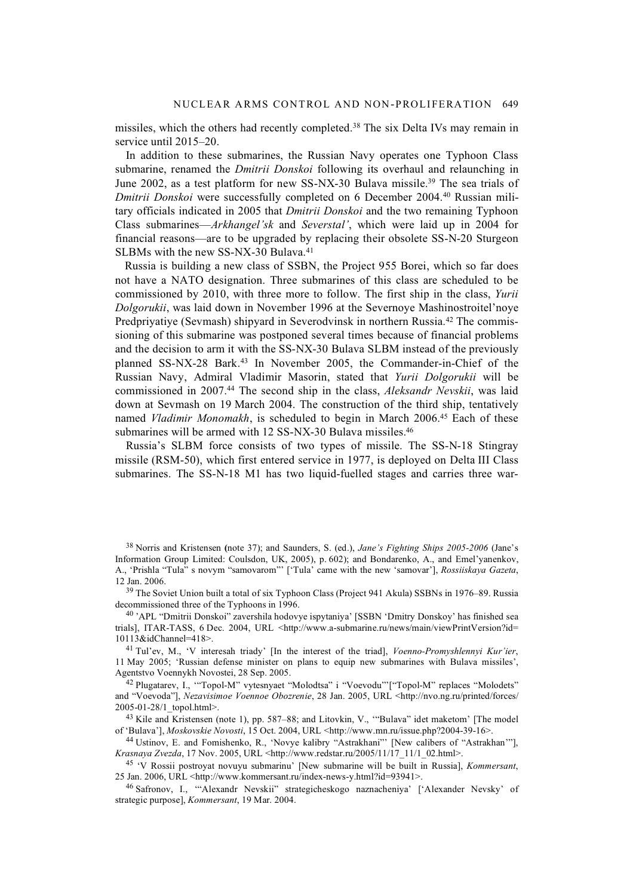missiles, which the others had recently completed.38 The six Delta IVs may remain in service until 2015–20.

In addition to these submarines, the Russian Navy operates one Typhoon Class submarine, renamed the *Dmitrii Donskoi* following its overhaul and relaunching in June 2002, as a test platform for new SS-NX-30 Bulava missile.39 The sea trials of *Dmitrii Donskoi* were successfully completed on 6 December 2004.40 Russian military officials indicated in 2005 that *Dmitrii Donskoi* and the two remaining Typhoon Class submarines—*Arkhangel'sk* and *Severstal'*, which were laid up in 2004 for financial reasons—are to be upgraded by replacing their obsolete SS-N-20 Sturgeon SLBMs with the new SS-NX-30 Bulava.<sup>41</sup>

Russia is building a new class of SSBN, the Project 955 Borei, which so far does not have a NATO designation. Three submarines of this class are scheduled to be commissioned by 2010, with three more to follow. The first ship in the class, *Yurii Dolgorukii*, was laid down in November 1996 at the Severnoye Mashinostroitel'noye Predpriyatiye (Sevmash) shipyard in Severodvinsk in northern Russia.42 The commissioning of this submarine was postponed several times because of financial problems and the decision to arm it with the SS-NX-30 Bulava SLBM instead of the previously planned SS-NX-28 Bark.43 In November 2005, the Commander-in-Chief of the Russian Navy, Admiral Vladimir Masorin, stated that *Yurii Dolgorukii* will be commissioned in 2007.44 The second ship in the class, *Aleksandr Nevskii*, was laid down at Sevmash on 19 March 2004. The construction of the third ship, tentatively named *Vladimir Monomakh*, is scheduled to begin in March 2006.45 Each of these submarines will be armed with 12 SS-NX-30 Bulava missiles.<sup>46</sup>

Russia's SLBM force consists of two types of missile. The SS-N-18 Stingray missile (RSM-50), which first entered service in 1977, is deployed on Delta III Class submarines. The SS-N-18 M1 has two liquid-fuelled stages and carries three war-

<sup>39</sup> The Soviet Union built a total of six Typhoon Class (Project 941 Akula) SSBNs in 1976–89. Russia decommissioned three of the Typhoons in 1996.

40 'APL "Dmitrii Donskoi" zavershila hodovye ispytaniya' [SSBN 'Dmitry Donskoy' has finished sea trials], ITAR-TASS, 6 Dec. 2004, URL <http://www.a-submarine.ru/news/main/viewPrintVersion?id= 10113&idChannel=418>.

41 Tul'ev, M., 'V interesah triady' [In the interest of the triad], *Voenno-Promyshlennyi Kur'ier*, 11 May 2005; 'Russian defense minister on plans to equip new submarines with Bulava missiles', Agentstvo Voennykh Novostei, 28 Sep. 2005.

42 Plugatarev, I., '"Topol-M" vytesnyaet "Molodtsa" i "Voevodu"'["Topol-M" replaces "Molodets" and "Voevoda"], *Nezavisimoe Voennoe Obozrenie*, 28 Jan. 2005, URL <http://nvo.ng.ru/printed/forces/ 2005-01-28/1\_topol.html>.

43 Kile and Kristensen (note 1), pp. 587–88; and Litovkin, V., '"Bulava" idet maketom' [The model of 'Bulava'], *Moskovskie Novosti*, 15 Oct. 2004, URL <http://www.mn.ru/issue.php?2004-39-16>.

44 Ustinov, E. and Fomishenko, R., 'Novye kalibry "Astrakhani"' [New calibers of "Astrakhan'"], *Krasnaya Zvezda*, 17 Nov. 2005, URL <http://www.redstar.ru/2005/11/17\_11/1\_02.html>.

45 'V Rossii postroyat novuyu submarinu' [New submarine will be built in Russia], *Kommersant*, 25 Jan. 2006, URL <http://www.kommersant.ru/index-news-y.html?id=93941>.

46 Safronov, I., '"Alexandr Nevskii" strategicheskogo naznacheniya' ['Alexander Nevsky' of strategic purpose], *Kommersant*, 19 Mar. 2004.

<sup>38</sup> Norris and Kristensen **(**note 37); and Saunders, S. (ed.), *Jane's Fighting Ships 2005-2006* (Jane's Information Group Limited: Coulsdon, UK, 2005), p. 602); and Bondarenko, A., and Emel'yanenkov, A., 'Prishla "Tula" s novym "samovarom"' ['Tula' came with the new 'samovar'], *Rossiiskaya Gazeta*, 12 Jan. 2006.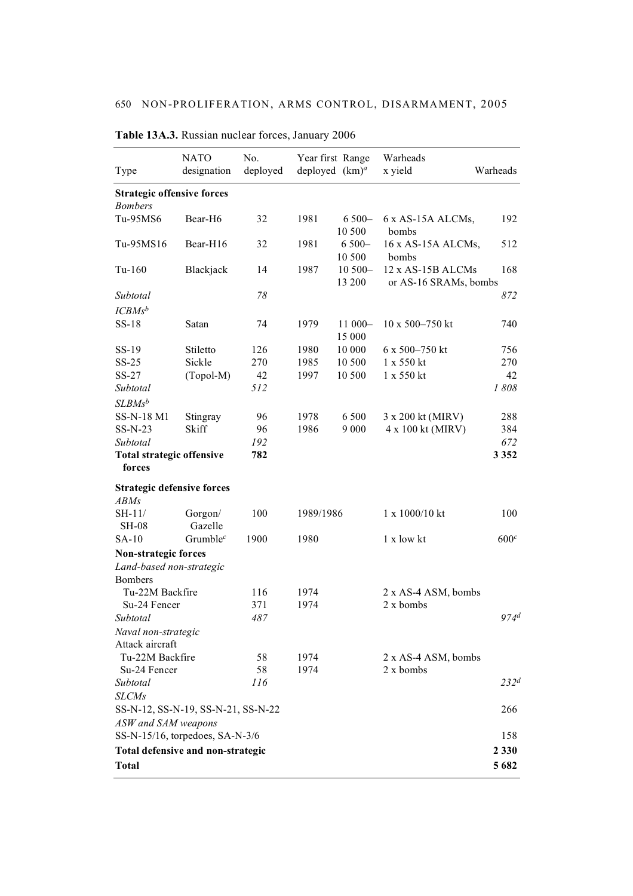| Type                              | <b>NATO</b><br>designation         | No.<br>deployed | Year first Range<br>deployed $(km)^a$ |           | Warheads<br>x yield   | Warheads         |
|-----------------------------------|------------------------------------|-----------------|---------------------------------------|-----------|-----------------------|------------------|
| <b>Strategic offensive forces</b> |                                    |                 |                                       |           |                       |                  |
| <b>Bombers</b>                    |                                    |                 |                                       |           |                       |                  |
| Tu-95MS6                          | Bear-H <sub>6</sub>                | 32              | 1981                                  | $6500 -$  | 6 x AS-15A ALCMs,     | 192              |
|                                   |                                    |                 |                                       | 10 500    | bombs                 |                  |
| Tu-95MS16                         | Bear-H16                           | 32              | 1981                                  | $6500 -$  | 16 x AS-15A ALCMs,    | 512              |
|                                   |                                    |                 |                                       | 10 500    | bombs                 |                  |
| $Tu-160$                          | Blackjack                          | 14              | 1987                                  | $10500 -$ | 12 x AS-15B ALCMs     | 168              |
|                                   |                                    |                 |                                       | 13 200    | or AS-16 SRAMs, bombs |                  |
| Subtotal                          |                                    | 78              |                                       |           |                       | 872              |
| $ICBMs^b$                         |                                    |                 |                                       |           |                       |                  |
| $SS-18$                           | Satan                              | 74              | 1979                                  | 11 000-   | 10 x 500-750 kt       | 740              |
|                                   |                                    |                 |                                       | 15 000    |                       |                  |
| SS-19                             | Stiletto                           | 126             | 1980                                  | 10 000    | 6 x 500-750 kt        | 756              |
| $SS-25$                           | Sickle                             | 270             | 1985                                  | 10 500    | 1 x 550 kt            | 270              |
| SS-27                             | (Topol-M)                          | 42              | 1997                                  | 10 500    | 1 x 550 kt            | 42               |
| Subtotal                          |                                    | 512             |                                       |           |                       | 1808             |
| $SLBMs^b$                         |                                    |                 |                                       |           |                       |                  |
| SS-N-18 M1                        | Stingray                           | 96              | 1978                                  | 6 500     | 3 x 200 kt (MIRV)     | 288              |
| $SS-N-23$                         | Skiff                              | 96              | 1986                                  | 9 0 0 0   | 4 x 100 kt (MIRV)     | 384              |
| Subtotal                          |                                    | 192             |                                       |           |                       | 672              |
| <b>Total strategic offensive</b>  |                                    | 782             |                                       |           |                       | 3 3 5 2          |
| forces                            |                                    |                 |                                       |           |                       |                  |
| <b>Strategic defensive forces</b> |                                    |                 |                                       |           |                       |                  |
| <b>ABMs</b>                       |                                    |                 |                                       |           |                       |                  |
| $SH-11/$                          | Gorgon/                            | 100             | 1989/1986                             |           | 1 x 1000/10 k t       | 100              |
| <b>SH-08</b>                      | Gazelle                            |                 |                                       |           |                       |                  |
| $SA-10$                           | Grumble <sup><math>c</math></sup>  | 1900            | 1980                                  |           | 1 x low kt            | 600 <sup>c</sup> |
| Non-strategic forces              |                                    |                 |                                       |           |                       |                  |
| Land-based non-strategic          |                                    |                 |                                       |           |                       |                  |
| <b>Bombers</b>                    |                                    |                 |                                       |           |                       |                  |
| Tu-22M Backfire                   |                                    | 116             | 1974                                  |           | 2 x AS-4 ASM, bombs   |                  |
| Su-24 Fencer                      |                                    | 371             | 1974                                  |           | 2 x bombs             |                  |
| Subtotal                          |                                    | 487             |                                       |           |                       | $974^d$          |
| Naval non-strategic               |                                    |                 |                                       |           |                       |                  |
| Attack aircraft                   |                                    |                 |                                       |           |                       |                  |
| Tu-22M Backfire                   |                                    | 58              | 1974                                  |           | 2 x AS-4 ASM, bombs   |                  |
| Su-24 Fencer                      |                                    | 58              | 1974                                  |           | 2 x bombs             |                  |
| Subtotal                          |                                    | 116             |                                       |           |                       | $232^d$          |
| <b>SLCMs</b>                      |                                    |                 |                                       |           |                       |                  |
|                                   | SS-N-12, SS-N-19, SS-N-21, SS-N-22 |                 |                                       |           |                       | 266              |
| ASW and SAM weapons               |                                    |                 |                                       |           |                       |                  |
|                                   | SS-N-15/16, torpedoes, SA-N-3/6    |                 |                                       |           |                       | 158              |
|                                   | Total defensive and non-strategic  |                 |                                       |           |                       | 2 3 3 0          |
| <b>Total</b>                      |                                    |                 |                                       |           |                       | 5682             |

**Table 13A.3.** Russian nuclear forces, January 2006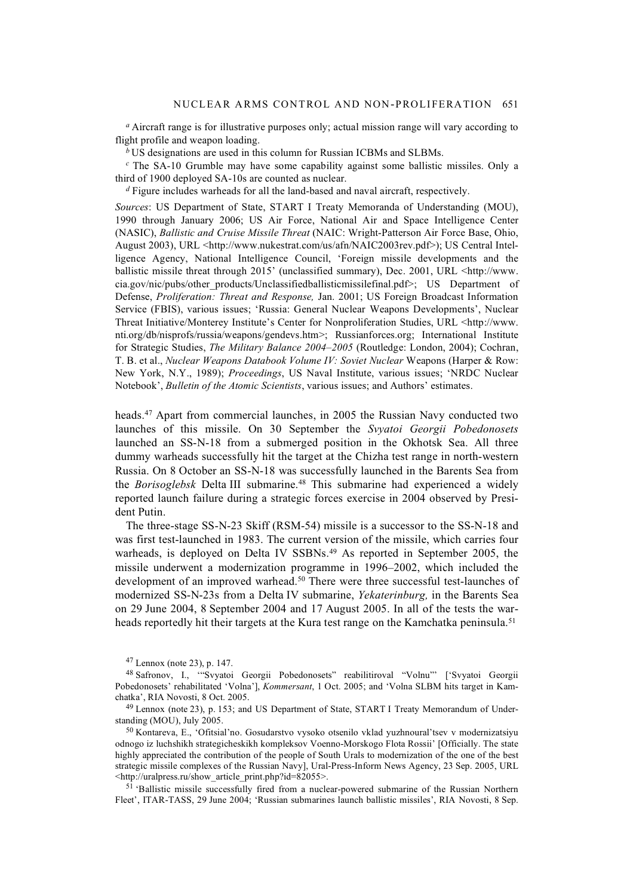*<sup>a</sup>* Aircraft range is for illustrative purposes only; actual mission range will vary according to flight profile and weapon loading.

*<sup>b</sup>*US designations are used in this column for Russian ICBMs and SLBMs.

*<sup>c</sup>*The SA-10 Grumble may have some capability against some ballistic missiles. Only a third of 1900 deployed SA-10s are counted as nuclear.

*<sup>d</sup>* Figure includes warheads for all the land-based and naval aircraft, respectively.

*Sources*: US Department of State, START I Treaty Memoranda of Understanding (MOU), 1990 through January 2006; US Air Force, National Air and Space Intelligence Center (NASIC), *Ballistic and Cruise Missile Threat* (NAIC: Wright-Patterson Air Force Base, Ohio, August 2003), URL <http://www.nukestrat.com/us/afn/NAIC2003rev.pdf>); US Central Intelligence Agency, National Intelligence Council, 'Foreign missile developments and the ballistic missile threat through 2015' (unclassified summary), Dec. 2001, URL <http://www. cia.gov/nic/pubs/other\_products/Unclassifiedballisticmissilefinal.pdf>; US Department of Defense, *Proliferation: Threat and Response,* Jan. 2001; US Foreign Broadcast Information Service (FBIS), various issues; 'Russia: General Nuclear Weapons Developments', Nuclear Threat Initiative/Monterey Institute's Center for Nonproliferation Studies, URL <http://www. nti.org/db/nisprofs/russia/weapons/gendevs.htm>; Russianforces.org; International Institute for Strategic Studies, *The Military Balance 2004–2005* (Routledge: London, 2004); Cochran, T. B. et al., *Nuclear Weapons Databook Volume IV: Soviet Nuclear* Weapons (Harper & Row: New York, N.Y., 1989); *Proceedings*, US Naval Institute, various issues; 'NRDC Nuclear Notebook', *Bulletin of the Atomic Scientists*, various issues; and Authors' estimates.

heads.47 Apart from commercial launches, in 2005 the Russian Navy conducted two launches of this missile. On 30 September the *Svyatoi Georgii Pobedonosets* launched an SS-N-18 from a submerged position in the Okhotsk Sea. All three dummy warheads successfully hit the target at the Chizha test range in north-western Russia. On 8 October an SS-N-18 was successfully launched in the Barents Sea from the *Borisoglebsk* Delta III submarine.48 This submarine had experienced a widely reported launch failure during a strategic forces exercise in 2004 observed by President Putin.

The three-stage SS-N-23 Skiff (RSM-54) missile is a successor to the SS-N-18 and was first test-launched in 1983. The current version of the missile, which carries four warheads, is deployed on Delta IV SSBNs.<sup>49</sup> As reported in September 2005, the missile underwent a modernization programme in 1996–2002, which included the development of an improved warhead.<sup>50</sup> There were three successful test-launches of modernized SS-N-23s from a Delta IV submarine, *Yekaterinburg,* in the Barents Sea on 29 June 2004, 8 September 2004 and 17 August 2005. In all of the tests the warheads reportedly hit their targets at the Kura test range on the Kamchatka peninsula.<sup>51</sup>

50 Kontareva, E., 'Ofitsial'no. Gosudarstvo vysoko otsenilo vklad yuzhnoural'tsev v modernizatsiyu odnogo iz luchshikh strategicheskikh kompleksov Voenno-Morskogo Flota Rossii' [Officially. The state highly appreciated the contribution of the people of South Urals to modernization of the one of the best strategic missile complexes of the Russian Navy], Ural-Press-Inform News Agency, 23 Sep. 2005, URL <http://uralpress.ru/show\_article\_print.php?id=82055>.

<sup>51</sup> 'Ballistic missile successfully fired from a nuclear-powered submarine of the Russian Northern Fleet', ITAR-TASS, 29 June 2004; 'Russian submarines launch ballistic missiles', RIA Novosti, 8 Sep.

 $47$  Lennox (note 23), p. 147.

<sup>48</sup> Safronov, I., '"Svyatoi Georgii Pobedonosets" reabilitiroval "Volnu"' ['Svyatoi Georgii Pobedonosets' rehabilitated 'Volna'], *Kommersant*, 1 Oct. 2005; and 'Volna SLBM hits target in Kamchatka', RIA Novosti, 8 Oct. 2005.

<sup>49</sup> Lennox (note 23), p. 153; and US Department of State, START I Treaty Memorandum of Understanding (MOU), July 2005.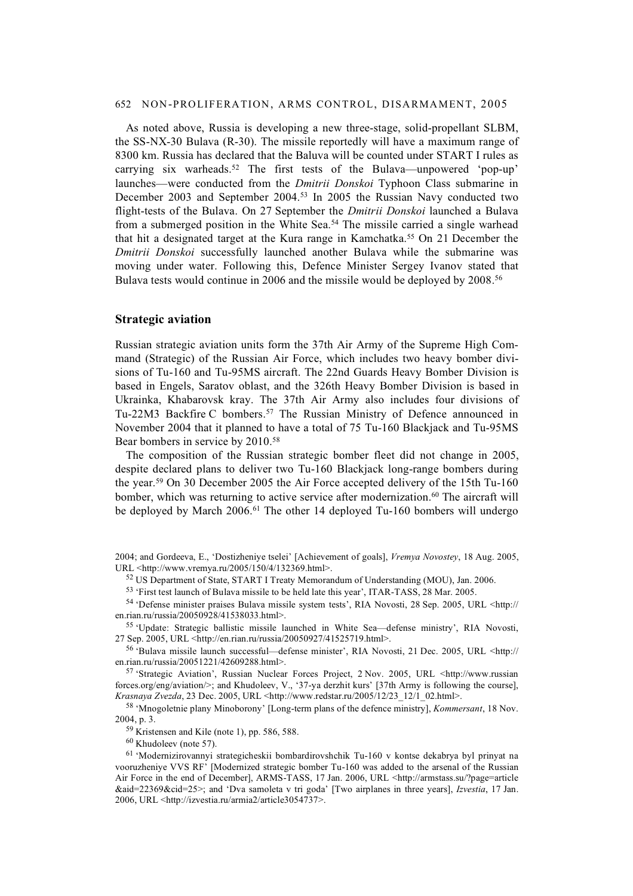#### 652 NON-PROLIFERATION, ARMS CONTROL, DISARMAMENT, 2005

As noted above, Russia is developing a new three-stage, solid-propellant SLBM, the SS-NX-30 Bulava (R-30). The missile reportedly will have a maximum range of 8300 km. Russia has declared that the Baluva will be counted under START I rules as carrying six warheads.52 The first tests of the Bulava—unpowered 'pop-up' launches—were conducted from the *Dmitrii Donskoi* Typhoon Class submarine in December 2003 and September 2004.53 In 2005 the Russian Navy conducted two flight-tests of the Bulava. On 27 September the *Dmitrii Donskoi* launched a Bulava from a submerged position in the White Sea.<sup>54</sup> The missile carried a single warhead that hit a designated target at the Kura range in Kamchatka.55 On 21 December the *Dmitrii Donskoi* successfully launched another Bulava while the submarine was moving under water. Following this, Defence Minister Sergey Ivanov stated that Bulava tests would continue in 2006 and the missile would be deployed by 2008.56

### **Strategic aviation**

Russian strategic aviation units form the 37th Air Army of the Supreme High Command (Strategic) of the Russian Air Force, which includes two heavy bomber divisions of Tu-160 and Tu-95MS aircraft. The 22nd Guards Heavy Bomber Division is based in Engels, Saratov oblast, and the 326th Heavy Bomber Division is based in Ukrainka, Khabarovsk kray. The 37th Air Army also includes four divisions of Tu-22M3 Backfire C bombers.<sup>57</sup> The Russian Ministry of Defence announced in November 2004 that it planned to have a total of 75 Tu-160 Blackjack and Tu-95MS Bear bombers in service by 2010.<sup>58</sup>

The composition of the Russian strategic bomber fleet did not change in 2005, despite declared plans to deliver two Tu-160 Blackjack long-range bombers during the year.59 On 30 December 2005 the Air Force accepted delivery of the 15th Tu-160 bomber, which was returning to active service after modernization.<sup>60</sup> The aircraft will be deployed by March 2006.<sup>61</sup> The other 14 deployed Tu-160 bombers will undergo

2004; and Gordeeva, E., 'Dostizheniye tselei' [Achievement of goals], *Vremya Novostey*, 18 Aug. 2005, URL <http://www.vremya.ru/2005/150/4/132369.html>.

52 US Department of State, START I Treaty Memorandum of Understanding (MOU), Jan. 2006.

53 'First test launch of Bulava missile to be held late this year', ITAR-TASS, 28 Mar. 2005.

54 'Defense minister praises Bulava missile system tests', RIA Novosti, 28 Sep. 2005, URL <http:// en.rian.ru/russia/20050928/41538033.html>.

55 'Update: Strategic ballistic missile launched in White Sea—defense ministry', RIA Novosti, 27 Sep. 2005, URL <http://en.rian.ru/russia/20050927/41525719.html>.

56 'Bulava missile launch successful—defense minister', RIA Novosti, 21 Dec. 2005, URL <http:// en.rian.ru/russia/20051221/42609288.html>.

57 'Strategic Aviation', Russian Nuclear Forces Project, 2 Nov. 2005, URL <http://www.russian forces.org/eng/aviation/>; and Khudoleev, V., '37-ya derzhit kurs' [37th Army is following the course], *Krasnaya Zvezda*, 23 Dec. 2005, URL <http://www.redstar.ru/2005/12/23 12/1 02.html>.

58 'Mnogoletnie plany Minoborony' [Long-term plans of the defence ministry], *Kommersant*, 18 Nov. 2004, p. 3.

59 Kristensen and Kile (note 1), pp. 586, 588.

60 Khudoleev (note 57).

61 'Modernizirovannyi strategicheskii bombardirovshchik Tu-160 v kontse dekabrya byl prinyat na vooruzheniye VVS RF' [Modernized strategic bomber Tu-160 was added to the arsenal of the Russian Air Force in the end of December], ARMS-TASS, 17 Jan. 2006, URL <http://armstass.su/?page=article &aid=22369&cid=25>; and 'Dva samoleta v tri goda' [Two airplanes in three years], *Izvestia*, 17 Jan. 2006, URL <http://izvestia.ru/armia2/article3054737>.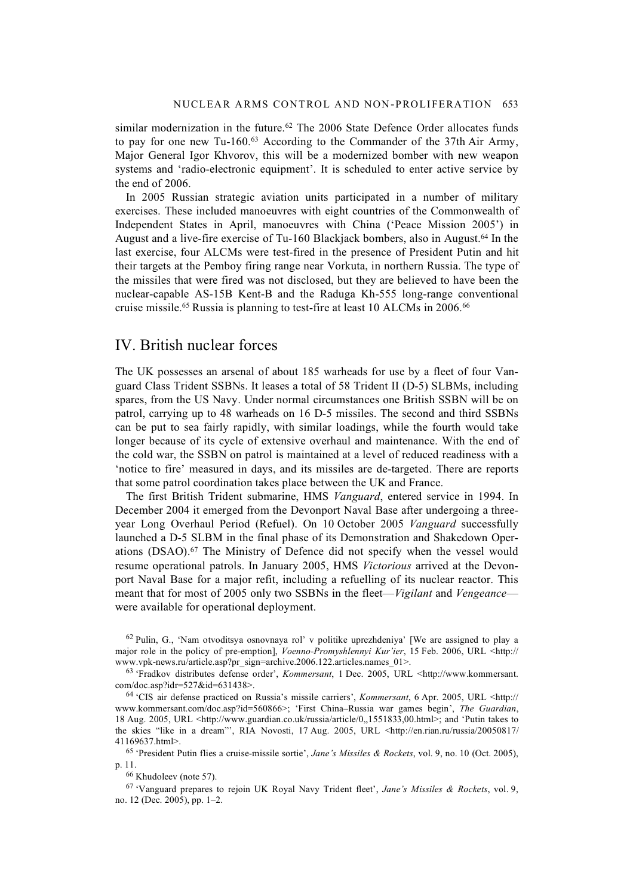similar modernization in the future.<sup>62</sup> The 2006 State Defence Order allocates funds to pay for one new Tu-160.63 According to the Commander of the 37th Air Army, Major General Igor Khvorov, this will be a modernized bomber with new weapon systems and 'radio-electronic equipment'. It is scheduled to enter active service by the end of 2006.

In 2005 Russian strategic aviation units participated in a number of military exercises. These included manoeuvres with eight countries of the Commonwealth of Independent States in April, manoeuvres with China ('Peace Mission 2005') in August and a live-fire exercise of Tu-160 Blackjack bombers, also in August.<sup>64</sup> In the last exercise, four ALCMs were test-fired in the presence of President Putin and hit their targets at the Pemboy firing range near Vorkuta, in northern Russia. The type of the missiles that were fired was not disclosed, but they are believed to have been the nuclear-capable AS-15B Kent-B and the Raduga Kh-555 long-range conventional cruise missile.65 Russia is planning to test-fire at least 10 ALCMs in 2006.66

# IV. British nuclear forces

The UK possesses an arsenal of about 185 warheads for use by a fleet of four Vanguard Class Trident SSBNs. It leases a total of 58 Trident II (D-5) SLBMs, including spares, from the US Navy. Under normal circumstances one British SSBN will be on patrol, carrying up to 48 warheads on 16 D-5 missiles. The second and third SSBNs can be put to sea fairly rapidly, with similar loadings, while the fourth would take longer because of its cycle of extensive overhaul and maintenance. With the end of the cold war, the SSBN on patrol is maintained at a level of reduced readiness with a 'notice to fire' measured in days, and its missiles are de-targeted. There are reports that some patrol coordination takes place between the UK and France.

The first British Trident submarine, HMS *Vanguard*, entered service in 1994. In December 2004 it emerged from the Devonport Naval Base after undergoing a threeyear Long Overhaul Period (Refuel). On 10 October 2005 *Vanguard* successfully launched a D-5 SLBM in the final phase of its Demonstration and Shakedown Operations (DSAO).67 The Ministry of Defence did not specify when the vessel would resume operational patrols. In January 2005, HMS *Victorious* arrived at the Devonport Naval Base for a major refit, including a refuelling of its nuclear reactor. This meant that for most of 2005 only two SSBNs in the fleet—*Vigilant* and *Vengeance* were available for operational deployment.

62 Pulin, G., 'Nam otvoditsya osnovnaya rol' v politike uprezhdeniya' [We are assigned to play a major role in the policy of pre-emption], *Voenno-Promyshlennyi Kur'ier*, 15 Feb. 2006, URL <http:// www.vpk-news.ru/article.asp?pr\_sign=archive.2006.122.articles.names\_01>.

63 'Fradkov distributes defense order', *Kommersant*, 1 Dec. 2005, URL <http://www.kommersant. com/doc.asp?idr=527&id=631438>.

64 'CIS air defense practiced on Russia's missile carriers', *Kommersant*, 6 Apr. 2005, URL <http:// www.kommersant.com/doc.asp?id=560866>; 'First China–Russia war games begin', *The Guardian*, 18 Aug. 2005, URL <http://www.guardian.co.uk/russia/article/0,,1551833,00.html>; and 'Putin takes to the skies "like in a dream"', RIA Novosti, 17 Aug. 2005, URL <http://en.rian.ru/russia/20050817/ 41169637.html>.

65 'President Putin flies a cruise-missile sortie', *Jane's Missiles & Rockets*, vol. 9, no. 10 (Oct. 2005), p. 11.

66 Khudoleev (note 57).

67 'Vanguard prepares to rejoin UK Royal Navy Trident fleet', *Jane's Missiles & Rockets*, vol. 9, no. 12 (Dec. 2005), pp. 1–2.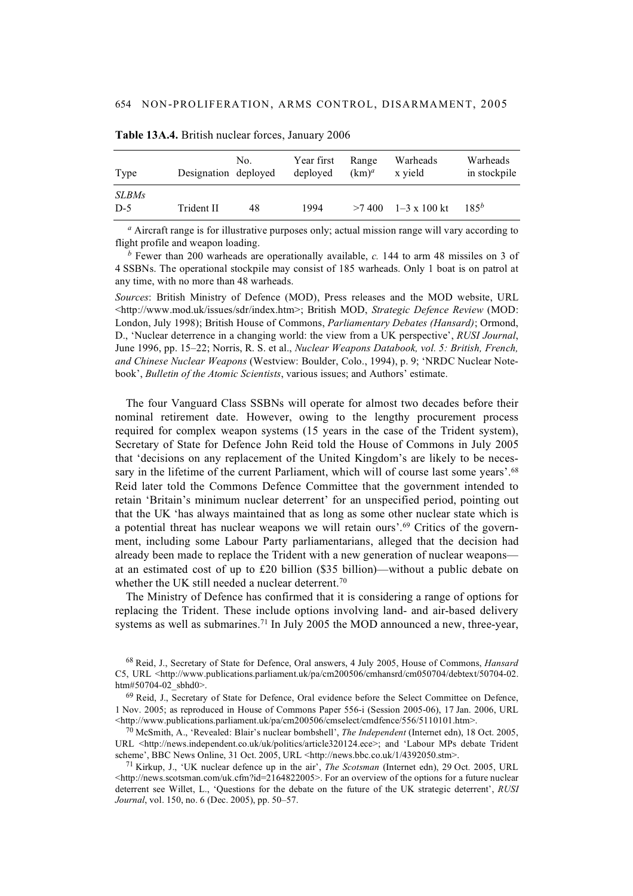| Type                  | Designation deployed | No. | Year first<br>deployed | Range<br>$(km)^a$ | Warheads<br>x vield  | Warheads<br>in stockpile |
|-----------------------|----------------------|-----|------------------------|-------------------|----------------------|--------------------------|
| <b>SLBMs</b><br>$D-5$ | Trident II           | 48  | 1994                   |                   | $>7400$ 1-3 x 100 kt | $185^{b}$                |

**Table 13A.4.** British nuclear forces, January 2006

*<sup>a</sup>* Aircraft range is for illustrative purposes only; actual mission range will vary according to flight profile and weapon loading.

*<sup>b</sup>* Fewer than 200 warheads are operationally available, *c.* 144 to arm 48 missiles on 3 of 4 SSBNs. The operational stockpile may consist of 185 warheads. Only 1 boat is on patrol at any time, with no more than 48 warheads.

*Sources*: British Ministry of Defence (MOD), Press releases and the MOD website, URL <http://www.mod.uk/issues/sdr/index.htm>; British MOD, *Strategic Defence Review* (MOD: London, July 1998); British House of Commons, *Parliamentary Debates (Hansard)*; Ormond, D., 'Nuclear deterrence in a changing world: the view from a UK perspective', *RUSI Journal*, June 1996, pp. 15–22; Norris, R. S. et al., *Nuclear Weapons Databook, vol. 5: British, French, and Chinese Nuclear Weapons* (Westview: Boulder, Colo., 1994), p. 9; 'NRDC Nuclear Notebook', *Bulletin of the Atomic Scientists*, various issues; and Authors' estimate.

The four Vanguard Class SSBNs will operate for almost two decades before their nominal retirement date. However, owing to the lengthy procurement process required for complex weapon systems (15 years in the case of the Trident system), Secretary of State for Defence John Reid told the House of Commons in July 2005 that 'decisions on any replacement of the United Kingdom's are likely to be necessary in the lifetime of the current Parliament, which will of course last some years'.<sup>68</sup> Reid later told the Commons Defence Committee that the government intended to retain 'Britain's minimum nuclear deterrent' for an unspecified period, pointing out that the UK 'has always maintained that as long as some other nuclear state which is a potential threat has nuclear weapons we will retain ours'.69 Critics of the government, including some Labour Party parliamentarians, alleged that the decision had already been made to replace the Trident with a new generation of nuclear weapons at an estimated cost of up to £20 billion (\$35 billion)—without a public debate on whether the UK still needed a nuclear deterrent.<sup>70</sup>

The Ministry of Defence has confirmed that it is considering a range of options for replacing the Trident. These include options involving land- and air-based delivery systems as well as submarines.<sup>71</sup> In July 2005 the MOD announced a new, three-year,

<sup>69</sup> Reid, J., Secretary of State for Defence, Oral evidence before the Select Committee on Defence, 1 Nov. 2005; as reproduced in House of Commons Paper 556-i (Session 2005-06), 17 Jan. 2006, URL

<sup>70</sup> McSmith, A., 'Revealed: Blair's nuclear bombshell', *The Independent* (Internet edn), 18 Oct. 2005, URL <http://news.independent.co.uk/uk/politics/article320124.ece>; and 'Labour MPs debate Trident scheme', BBC News Online, 31 Oct. 2005, URL <http://news.bbc.co.uk/1/4392050.stm>.

71 Kirkup, J., 'UK nuclear defence up in the air', *The Scotsman* (Internet edn), 29 Oct. 2005, URL  $\text{Khttp://news.scotsman.com/uk.cfm?id=2164822005}$ . For an overview of the options for a future nuclear deterrent see Willet, L., 'Questions for the debate on the future of the UK strategic deterrent', *RUSI Journal*, vol. 150, no. 6 (Dec. 2005), pp. 50–57.

<sup>68</sup> Reid, J., Secretary of State for Defence, Oral answers, 4 July 2005, House of Commons, *Hansard* C5, URL <http://www.publications.parliament.uk/pa/cm200506/cmhansrd/cm050704/debtext/50704-02. htm#50704-02\_sbhd0>.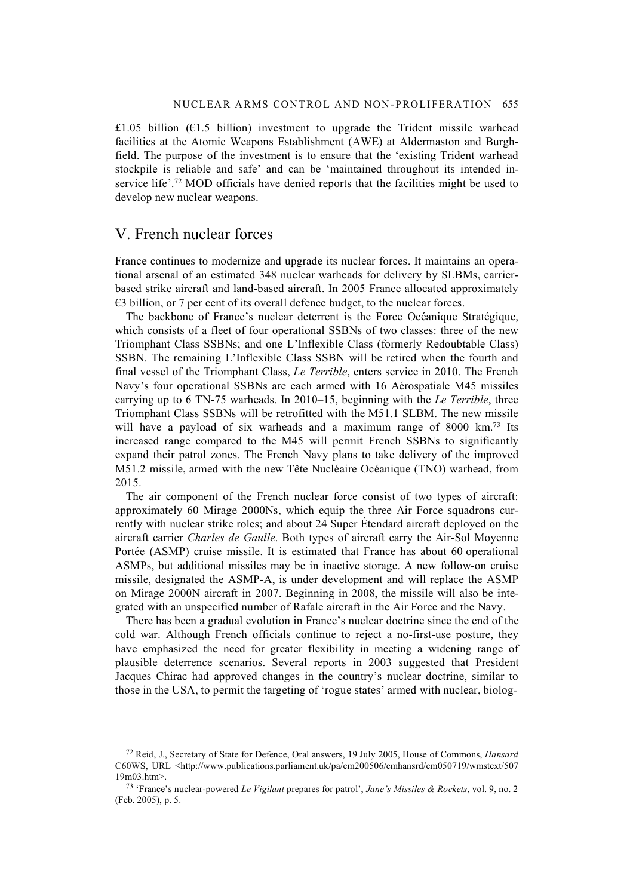£1.05 billion ( $\epsilon$ 1.5 billion) investment to upgrade the Trident missile warhead facilities at the Atomic Weapons Establishment (AWE) at Aldermaston and Burghfield. The purpose of the investment is to ensure that the 'existing Trident warhead stockpile is reliable and safe' and can be 'maintained throughout its intended inservice life'.<sup>72</sup> MOD officials have denied reports that the facilities might be used to develop new nuclear weapons.

# V. French nuclear forces

France continues to modernize and upgrade its nuclear forces. It maintains an operational arsenal of an estimated 348 nuclear warheads for delivery by SLBMs, carrierbased strike aircraft and land-based aircraft. In 2005 France allocated approximately €3 billion, or 7 per cent of its overall defence budget, to the nuclear forces.

The backbone of France's nuclear deterrent is the Force Océanique Stratégique, which consists of a fleet of four operational SSBNs of two classes: three of the new Triomphant Class SSBNs; and one L'Inflexible Class (formerly Redoubtable Class) SSBN. The remaining L'Inflexible Class SSBN will be retired when the fourth and final vessel of the Triomphant Class, *Le Terrible*, enters service in 2010. The French Navy's four operational SSBNs are each armed with 16 Aérospatiale M45 missiles carrying up to 6 TN-75 warheads. In 2010–15, beginning with the *Le Terrible*, three Triomphant Class SSBNs will be retrofitted with the M51.1 SLBM. The new missile will have a payload of six warheads and a maximum range of 8000 km.<sup>73</sup> Its increased range compared to the M45 will permit French SSBNs to significantly expand their patrol zones. The French Navy plans to take delivery of the improved M51.2 missile, armed with the new Tête Nucléaire Océanique (TNO) warhead, from 2015.

The air component of the French nuclear force consist of two types of aircraft: approximately 60 Mirage 2000Ns, which equip the three Air Force squadrons currently with nuclear strike roles; and about 24 Super Étendard aircraft deployed on the aircraft carrier *Charles de Gaulle*. Both types of aircraft carry the Air-Sol Moyenne Portée (ASMP) cruise missile. It is estimated that France has about 60 operational ASMPs, but additional missiles may be in inactive storage. A new follow-on cruise missile, designated the ASMP-A, is under development and will replace the ASMP on Mirage 2000N aircraft in 2007. Beginning in 2008, the missile will also be integrated with an unspecified number of Rafale aircraft in the Air Force and the Navy.

There has been a gradual evolution in France's nuclear doctrine since the end of the cold war. Although French officials continue to reject a no-first-use posture, they have emphasized the need for greater flexibility in meeting a widening range of plausible deterrence scenarios. Several reports in 2003 suggested that President Jacques Chirac had approved changes in the country's nuclear doctrine, similar to those in the USA, to permit the targeting of 'rogue states' armed with nuclear, biolog-

<sup>72</sup> Reid, J., Secretary of State for Defence, Oral answers, 19 July 2005, House of Commons, *Hansard* C60WS, URL <http://www.publications.parliament.uk/pa/cm200506/cmhansrd/cm050719/wmstext/507 19m03.htm>.

<sup>73 &#</sup>x27;France's nuclear-powered *Le Vigilant* prepares for patrol', *Jane's Missiles & Rockets*, vol. 9, no. 2 (Feb. 2005), p. 5.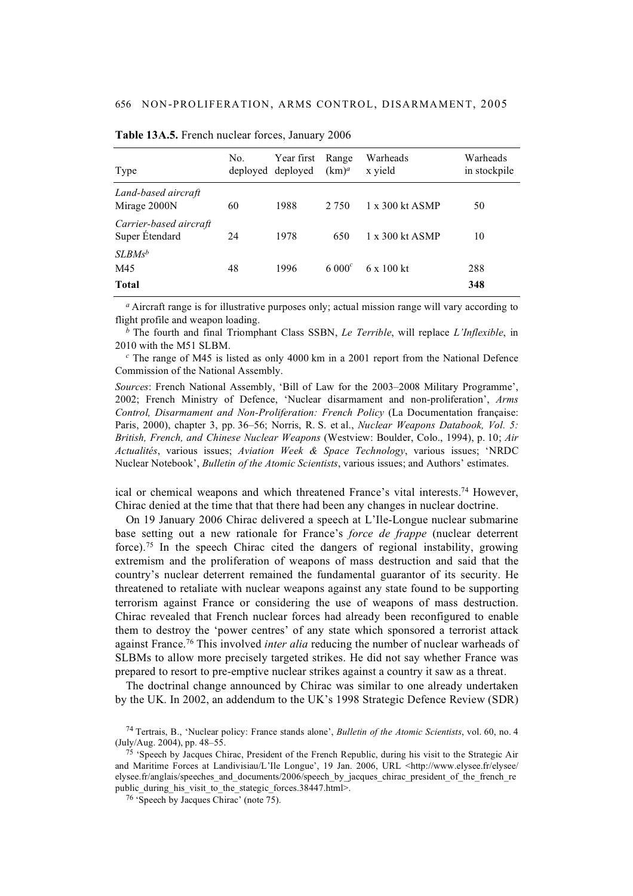| Type                                     | No. | Year first<br>deployed deployed | Range<br>$(km)^a$ | Warheads<br>x yield    | Warheads<br>in stockpile |
|------------------------------------------|-----|---------------------------------|-------------------|------------------------|--------------------------|
| Land-based aircraft<br>Mirage 2000N      | 60  | 1988                            | 2.750             | $1 \times 300$ kt ASMP | 50                       |
| Carrier-based aircraft<br>Super Étendard | 24  | 1978                            | 650               | 1 x 300 kt ASMP        | 10                       |
| $SLBMs^b$<br>M45                         | 48  | 1996                            | 6.000 $^{c}$      | $6 \times 100$ kt      | 288                      |
| <b>Total</b>                             |     |                                 |                   |                        | 348                      |

**Table 13A.5.** French nuclear forces, January 2006

*<sup>a</sup>*Aircraft range is for illustrative purposes only; actual mission range will vary according to flight profile and weapon loading.

*<sup>b</sup>* The fourth and final Triomphant Class SSBN, *Le Terrible*, will replace *L'Inflexible*, in 2010 with the M51 SLBM.

*<sup>c</sup>* The range of M45 is listed as only 4000 km in a 2001 report from the National Defence Commission of the National Assembly.

*Sources*: French National Assembly, 'Bill of Law for the 2003–2008 Military Programme', 2002; French Ministry of Defence, 'Nuclear disarmament and non-proliferation', *Arms Control, Disarmament and Non-Proliferation: French Policy* (La Documentation française: Paris, 2000), chapter 3, pp. 36–56; Norris, R. S. et al., *Nuclear Weapons Databook, Vol. 5: British, French, and Chinese Nuclear Weapons* (Westview: Boulder, Colo., 1994), p. 10; *Air Actualités*, various issues; *Aviation Week & Space Technology*, various issues; 'NRDC Nuclear Notebook', *Bulletin of the Atomic Scientists*, various issues; and Authors' estimates.

ical or chemical weapons and which threatened France's vital interests.74 However, Chirac denied at the time that that there had been any changes in nuclear doctrine.

On 19 January 2006 Chirac delivered a speech at L'Ile-Longue nuclear submarine base setting out a new rationale for France's *force de frappe* (nuclear deterrent force).75 In the speech Chirac cited the dangers of regional instability, growing extremism and the proliferation of weapons of mass destruction and said that the country's nuclear deterrent remained the fundamental guarantor of its security. He threatened to retaliate with nuclear weapons against any state found to be supporting terrorism against France or considering the use of weapons of mass destruction. Chirac revealed that French nuclear forces had already been reconfigured to enable them to destroy the 'power centres' of any state which sponsored a terrorist attack against France.76 This involved *inter alia* reducing the number of nuclear warheads of SLBMs to allow more precisely targeted strikes. He did not say whether France was prepared to resort to pre-emptive nuclear strikes against a country it saw as a threat.

The doctrinal change announced by Chirac was similar to one already undertaken by the UK. In 2002, an addendum to the UK's 1998 Strategic Defence Review (SDR)

<sup>74</sup> Tertrais, B., 'Nuclear policy: France stands alone', *Bulletin of the Atomic Scientists*, vol. 60, no. 4 (July/Aug. 2004), pp. 48–55.

<sup>&</sup>lt;sup>75</sup> 'Speech by Jacques Chirac, President of the French Republic, during his visit to the Strategic Air and Maritime Forces at Landivisiau/L'Ile Longue', 19 Jan. 2006, URL <http://www.elysee.fr/elysee/ elysee.fr/anglais/speeches\_and\_documents/2006/speech\_by\_jacques\_chirac\_president\_of\_the\_french\_re public during his visit to the stategic forces.38447.html>.

<sup>76 &#</sup>x27;Speech by Jacques Chirac' (note 75).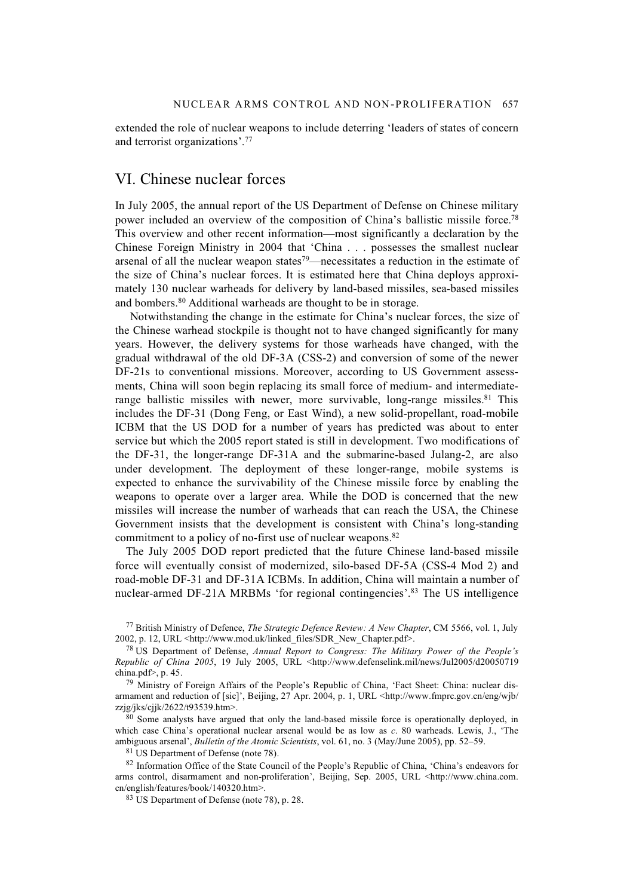extended the role of nuclear weapons to include deterring 'leaders of states of concern and terrorist organizations'.77

# VI. Chinese nuclear forces

In July 2005, the annual report of the US Department of Defense on Chinese military power included an overview of the composition of China's ballistic missile force.78 This overview and other recent information—most significantly a declaration by the Chinese Foreign Ministry in 2004 that 'China . . . possesses the smallest nuclear arsenal of all the nuclear weapon states79—necessitates a reduction in the estimate of the size of China's nuclear forces. It is estimated here that China deploys approximately 130 nuclear warheads for delivery by land-based missiles, sea-based missiles and bombers.80 Additional warheads are thought to be in storage.

Notwithstanding the change in the estimate for China's nuclear forces, the size of the Chinese warhead stockpile is thought not to have changed significantly for many years. However, the delivery systems for those warheads have changed, with the gradual withdrawal of the old DF-3A (CSS-2) and conversion of some of the newer DF-21s to conventional missions. Moreover, according to US Government assessments, China will soon begin replacing its small force of medium- and intermediaterange ballistic missiles with newer, more survivable, long-range missiles.<sup>81</sup> This includes the DF-31 (Dong Feng, or East Wind), a new solid-propellant, road-mobile ICBM that the US DOD for a number of years has predicted was about to enter service but which the 2005 report stated is still in development. Two modifications of the DF-31, the longer-range DF-31A and the submarine-based Julang-2, are also under development. The deployment of these longer-range, mobile systems is expected to enhance the survivability of the Chinese missile force by enabling the weapons to operate over a larger area. While the DOD is concerned that the new missiles will increase the number of warheads that can reach the USA, the Chinese Government insists that the development is consistent with China's long-standing commitment to a policy of no-first use of nuclear weapons.82

The July 2005 DOD report predicted that the future Chinese land-based missile force will eventually consist of modernized, silo-based DF-5A (CSS-4 Mod 2) and road-moble DF-31 and DF-31A ICBMs. In addition, China will maintain a number of nuclear-armed DF-21A MRBMs 'for regional contingencies'.83 The US intelligence

77 British Ministry of Defence, *The Strategic Defence Review: A New Chapter*, CM 5566, vol. 1, July 2002, p. 12, URL <http://www.mod.uk/linked\_files/SDR\_New\_Chapter.pdf>.

<sup>79</sup> Ministry of Foreign Affairs of the People's Republic of China, 'Fact Sheet: China: nuclear disarmament and reduction of [sic]', Beijing, 27 Apr. 2004, p. 1, URL <http://www.fmprc.gov.cn/eng/wib/ zzjg/jks/cjjk/2622/t93539.htm>.

 $80$  Some analysts have argued that only the land-based missile force is operationally deployed, in which case China's operational nuclear arsenal would be as low as *c*. 80 warheads. Lewis, J., 'The ambiguous arsenal', *Bulletin of the Atomic Scientists*, vol. 61, no. 3 (May/June 2005), pp. 52–59.

81 US Department of Defense (note 78).

<sup>82</sup> Information Office of the State Council of the People's Republic of China, 'China's endeavors for arms control, disarmament and non-proliferation', Beijing, Sep. 2005, URL <http://www.china.com. cn/english/features/book/140320.htm>.

<sup>83</sup> US Department of Defense (note 78), p. 28.

<sup>78</sup> US Department of Defense, *Annual Report to Congress: The Military Power of the People's Republic of China 2005*, 19 July 2005, URL <http://www.defenselink.mil/news/Jul2005/d20050719 china.pdf>, p. 45.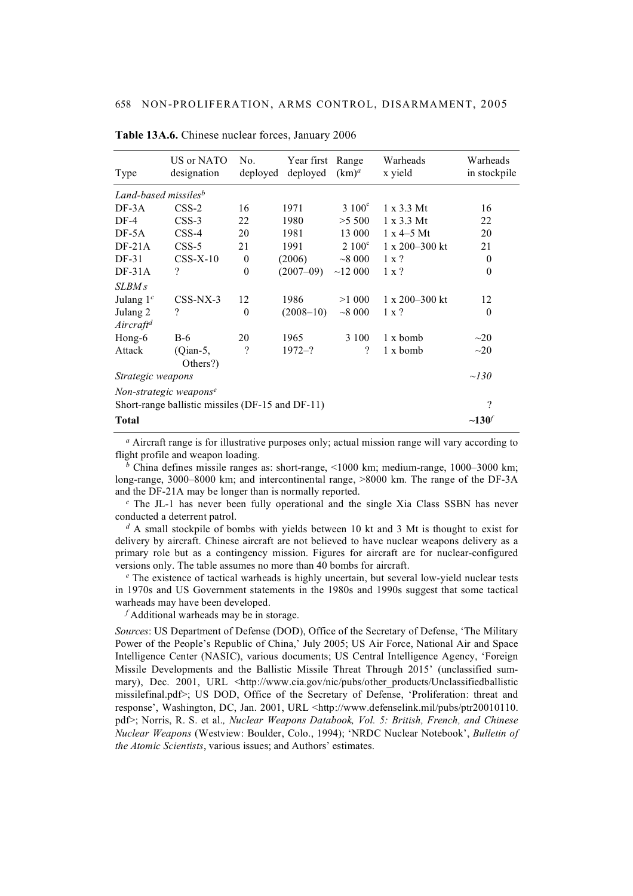| Type                             | US or NATO<br>designation                        | No.<br>deployed | Year first<br>deployed | Range<br>$(km)^a$        | Warheads<br>x yield     | Warheads<br>in stockpile |
|----------------------------------|--------------------------------------------------|-----------------|------------------------|--------------------------|-------------------------|--------------------------|
| Land-based missiles <sup>b</sup> |                                                  |                 |                        |                          |                         |                          |
| $DF-3A$                          | $CSS-2$                                          | 16              | 1971                   | $3.100^{\circ}$          | $1 \times 3.3$ Mt       | 16                       |
| $DF-4$                           | $CSS-3$                                          | 22              | 1980                   | >5500                    | $1 \times 3.3$ Mt       | 22                       |
| $DF-5A$                          | $CSS-4$                                          | 20              | 1981                   | 13 000                   | $1 \times 4 - 5$ Mt     | 20                       |
| $DF-21A$                         | $CSS-5$                                          | 21              | 1991                   | $2.100^{\circ}$          | $1 \times 200 - 300$ kt | 21                       |
| $DF-31$                          | $CSS-X-10$                                       | $\mathbf{0}$    | (2006)                 | ~18000                   | 1 x ?                   | $\theta$                 |
| $DF-31A$                         | $\overline{\cdot}$                               | $\theta$        | $(2007-09)$            | ~12000                   | $1 \times ?$            | $\theta$                 |
| SLBM <sub>s</sub>                |                                                  |                 |                        |                          |                         |                          |
| Julang $1c$                      | $CSS-NX-3$                                       | 12              | 1986                   | >1000                    | $1 \times 200 - 300$ kt | 12                       |
| Julang <sub>2</sub>              | ?                                                | $\theta$        | $(2008-10)$            | ~1000                    | $1 \times ?$            | $\theta$                 |
| Aircraft <sup>d</sup>            |                                                  |                 |                        |                          |                         |                          |
| Hong- $6$                        | $B-6$                                            | 20              | 1965                   | 3 100                    | 1 x bomb                | $\sim$ 20                |
| Attack                           | $(Qian-5,$<br>Others?)                           | $\gamma$        | $1972 - ?$             | $\overline{\mathcal{L}}$ | 1 x bomb                | $\sim$ 20                |
| Strategic weapons                |                                                  |                 |                        |                          |                         | $\sim$ 130               |
|                                  | Non-strategic weapons <sup>e</sup>               |                 |                        |                          |                         |                          |
|                                  | Short-range ballistic missiles (DF-15 and DF-11) |                 |                        |                          |                         | $\gamma$                 |
| <b>Total</b>                     |                                                  |                 |                        |                          |                         | $\sim 130'$              |

**Table 13A.6.** Chinese nuclear forces, January 2006

*<sup>a</sup>* Aircraft range is for illustrative purposes only; actual mission range will vary according to flight profile and weapon loading.

*<sup>b</sup>* China defines missile ranges as: short-range, <1000 km; medium-range, 1000–3000 km; long-range, 3000–8000 km; and intercontinental range, >8000 km. The range of the DF-3A and the DF-21A may be longer than is normally reported.

*<sup>c</sup>* The JL-1 has never been fully operational and the single Xia Class SSBN has never conducted a deterrent patrol.

*d* A small stockpile of bombs with yields between 10 kt and 3 Mt is thought to exist for delivery by aircraft. Chinese aircraft are not believed to have nuclear weapons delivery as a primary role but as a contingency mission. Figures for aircraft are for nuclear-configured versions only. The table assumes no more than 40 bombs for aircraft.

*<sup>e</sup>* The existence of tactical warheads is highly uncertain, but several low-yield nuclear tests in 1970s and US Government statements in the 1980s and 1990s suggest that some tactical warheads may have been developed.

*f* Additional warheads may be in storage.

*Sources*: US Department of Defense (DOD), Office of the Secretary of Defense, 'The Military Power of the People's Republic of China,' July 2005; US Air Force, National Air and Space Intelligence Center (NASIC), various documents; US Central Intelligence Agency, 'Foreign Missile Developments and the Ballistic Missile Threat Through 2015' (unclassified summary), Dec. 2001, URL <http://www.cia.gov/nic/pubs/other\_products/Unclassifiedballistic missilefinal.pdf>; US DOD, Office of the Secretary of Defense, 'Proliferation: threat and response', Washington, DC, Jan. 2001, URL <http://www.defenselink.mil/pubs/ptr20010110. pdf>; Norris, R. S. et al.*, Nuclear Weapons Databook, Vol. 5: British, French, and Chinese Nuclear Weapons* (Westview: Boulder, Colo., 1994); 'NRDC Nuclear Notebook', *Bulletin of the Atomic Scientists*, various issues; and Authors' estimates.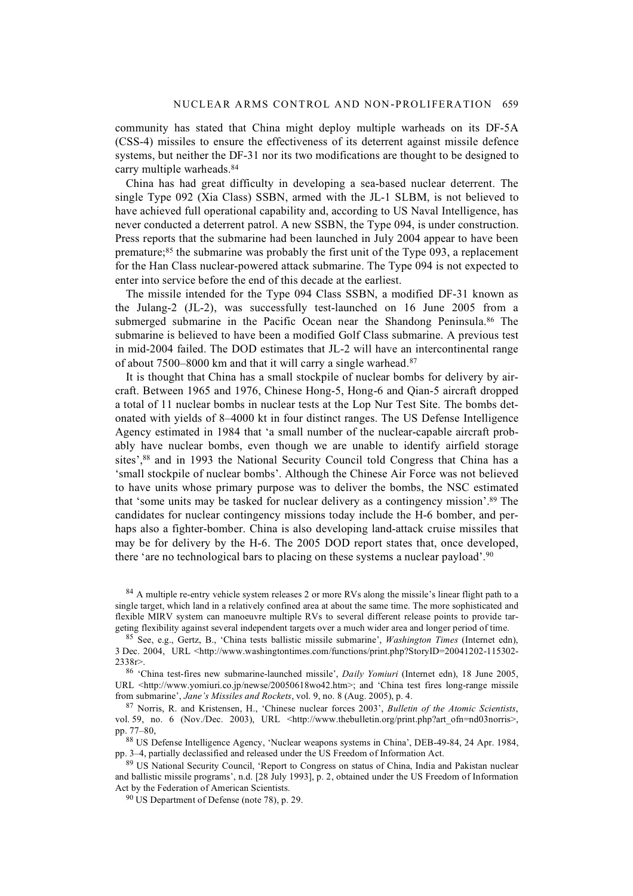community has stated that China might deploy multiple warheads on its DF-5A (CSS-4) missiles to ensure the effectiveness of its deterrent against missile defence systems, but neither the DF-31 nor its two modifications are thought to be designed to carry multiple warheads.84

China has had great difficulty in developing a sea-based nuclear deterrent. The single Type 092 (Xia Class) SSBN, armed with the JL-1 SLBM, is not believed to have achieved full operational capability and, according to US Naval Intelligence, has never conducted a deterrent patrol. A new SSBN, the Type 094, is under construction. Press reports that the submarine had been launched in July 2004 appear to have been premature;85 the submarine was probably the first unit of the Type 093, a replacement for the Han Class nuclear-powered attack submarine. The Type 094 is not expected to enter into service before the end of this decade at the earliest.

The missile intended for the Type 094 Class SSBN, a modified DF-31 known as the Julang-2 (JL-2), was successfully test-launched on 16 June 2005 from a submerged submarine in the Pacific Ocean near the Shandong Peninsula.<sup>86</sup> The submarine is believed to have been a modified Golf Class submarine. A previous test in mid-2004 failed. The DOD estimates that JL-2 will have an intercontinental range of about 7500–8000 km and that it will carry a single warhead.87

It is thought that China has a small stockpile of nuclear bombs for delivery by aircraft. Between 1965 and 1976, Chinese Hong-5, Hong-6 and Qian-5 aircraft dropped a total of 11 nuclear bombs in nuclear tests at the Lop Nur Test Site. The bombs detonated with yields of 8–4000 kt in four distinct ranges. The US Defense Intelligence Agency estimated in 1984 that 'a small number of the nuclear-capable aircraft probably have nuclear bombs, even though we are unable to identify airfield storage sites',88 and in 1993 the National Security Council told Congress that China has a 'small stockpile of nuclear bombs'. Although the Chinese Air Force was not believed to have units whose primary purpose was to deliver the bombs, the NSC estimated that 'some units may be tasked for nuclear delivery as a contingency mission'.89 The candidates for nuclear contingency missions today include the H-6 bomber, and perhaps also a fighter-bomber. China is also developing land-attack cruise missiles that may be for delivery by the H-6. The 2005 DOD report states that, once developed, there 'are no technological bars to placing on these systems a nuclear payload'.<sup>90</sup>

<sup>&</sup>lt;sup>84</sup> A multiple re-entry vehicle system releases 2 or more RVs along the missile's linear flight path to a single target, which land in a relatively confined area at about the same time. The more sophisticated and flexible MIRV system can manoeuvre multiple RVs to several different release points to provide targeting flexibility against several independent targets over a much wider area and longer period of time.

<sup>85</sup> See, e.g., Gertz, B., 'China tests ballistic missile submarine', *Washington Times* (Internet edn), 3 Dec. 2004, URL <http://www.washingtontimes.com/functions/print.php?StoryID=20041202-115302- 2338r>.

<sup>86</sup> 'China test-fires new submarine-launched missile', *Daily Yomiuri* (Internet edn), 18 June 2005, URL <http://www.yomiuri.co.jp/newse/20050618wo42.htm>; and 'China test fires long-range missile from submarine', *Jane's Missiles and Rockets*, vol. 9, no. 8 (Aug. 2005), p. 4.

<sup>87</sup> Norris, R. and Kristensen, H., 'Chinese nuclear forces 2003', *Bulletin of the Atomic Scientists*, vol. 59, no. 6 (Nov./Dec. 2003), URL <http://www.thebulletin.org/print.php?art\_ofn=nd03norris>, pp. 77–80,

<sup>88</sup> US Defense Intelligence Agency, 'Nuclear weapons systems in China', DEB-49-84, 24 Apr. 1984, pp. 3–4, partially declassified and released under the US Freedom of Information Act.

<sup>&</sup>lt;sup>89</sup> US National Security Council, 'Report to Congress on status of China, India and Pakistan nuclear and ballistic missile programs', n.d. [28 July 1993], p. 2, obtained under the US Freedom of Information Act by the Federation of American Scientists.

<sup>90</sup> US Department of Defense (note 78), p. 29.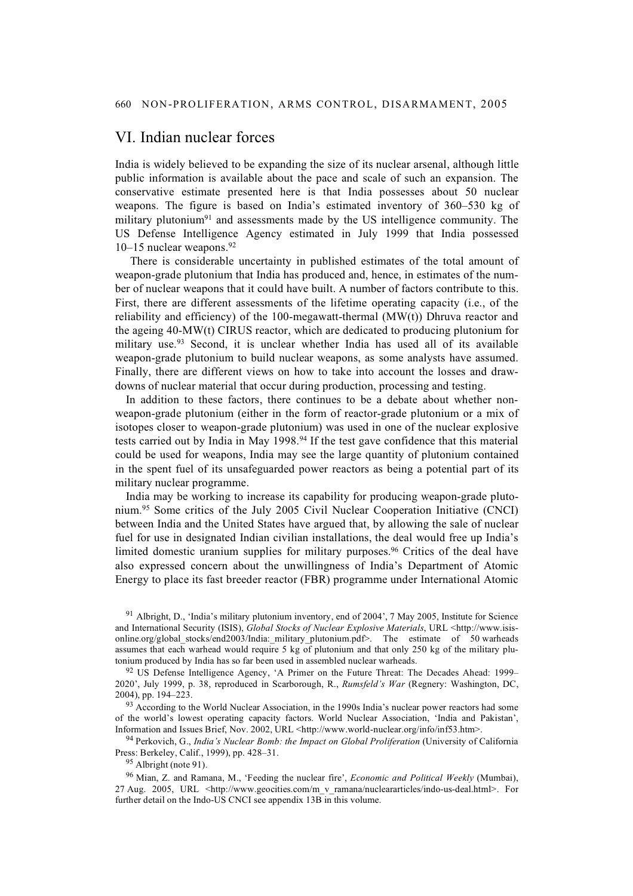# VI. Indian nuclear forces

India is widely believed to be expanding the size of its nuclear arsenal, although little public information is available about the pace and scale of such an expansion. The conservative estimate presented here is that India possesses about 50 nuclear weapons. The figure is based on India's estimated inventory of 360–530 kg of military plutonium $91$  and assessments made by the US intelligence community. The US Defense Intelligence Agency estimated in July 1999 that India possessed 10–15 nuclear weapons.92

There is considerable uncertainty in published estimates of the total amount of weapon-grade plutonium that India has produced and, hence, in estimates of the number of nuclear weapons that it could have built. A number of factors contribute to this. First, there are different assessments of the lifetime operating capacity (i.e., of the reliability and efficiency) of the 100-megawatt-thermal  $(MW(t))$  Dhruva reactor and the ageing 40-MW(t) CIRUS reactor, which are dedicated to producing plutonium for military use.93 Second, it is unclear whether India has used all of its available weapon-grade plutonium to build nuclear weapons, as some analysts have assumed. Finally, there are different views on how to take into account the losses and drawdowns of nuclear material that occur during production, processing and testing.

In addition to these factors, there continues to be a debate about whether nonweapon-grade plutonium (either in the form of reactor-grade plutonium or a mix of isotopes closer to weapon-grade plutonium) was used in one of the nuclear explosive tests carried out by India in May 1998.<sup>94</sup> If the test gave confidence that this material could be used for weapons, India may see the large quantity of plutonium contained in the spent fuel of its unsafeguarded power reactors as being a potential part of its military nuclear programme.

India may be working to increase its capability for producing weapon-grade plutonium.95 Some critics of the July 2005 Civil Nuclear Cooperation Initiative (CNCI) between India and the United States have argued that, by allowing the sale of nuclear fuel for use in designated Indian civilian installations, the deal would free up India's limited domestic uranium supplies for military purposes.96 Critics of the deal have also expressed concern about the unwillingness of India's Department of Atomic Energy to place its fast breeder reactor (FBR) programme under International Atomic

<sup>93</sup> According to the World Nuclear Association, in the 1990s India's nuclear power reactors had some of the world's lowest operating capacity factors. World Nuclear Association, 'India and Pakistan', Information and Issues Brief, Nov. 2002, URL <http://www.world-nuclear.org/info/inf53.htm>.

94 Perkovich, G., *India's Nuclear Bomb: the Impact on Global Proliferation* (University of California Press: Berkeley, Calif., 1999), pp. 428–31.

<sup>96</sup> Mian, Z. and Ramana, M., 'Feeding the nuclear fire', *Economic and Political Weekly* (Mumbai), 27 Aug. 2005, URL <http://www.geocities.com/m\_v\_ramana/nucleararticles/indo-us-deal.html>. For further detail on the Indo-US CNCI see appendix 13B in this volume.

<sup>&</sup>lt;sup>91</sup> Albright, D., 'India's military plutonium inventory, end of 2004', 7 May 2005, Institute for Science and International Security (ISIS), *Global Stocks of Nuclear Explosive Materials*, URL <http://www.isisonline.org/global\_stocks/end2003/India:\_military\_plutonium.pdf>. The estimate of 50 warheads assumes that each warhead would require 5 kg of plutonium and that only 250 kg of the military plutonium produced by India has so far been used in assembled nuclear warheads.

<sup>92</sup> US Defense Intelligence Agency, 'A Primer on the Future Threat: The Decades Ahead: 1999– 2020', July 1999, p. 38, reproduced in Scarborough, R., *Rumsfeld's War* (Regnery: Washington, DC, 2004), pp. 194–223.

<sup>95</sup> Albright (note 91).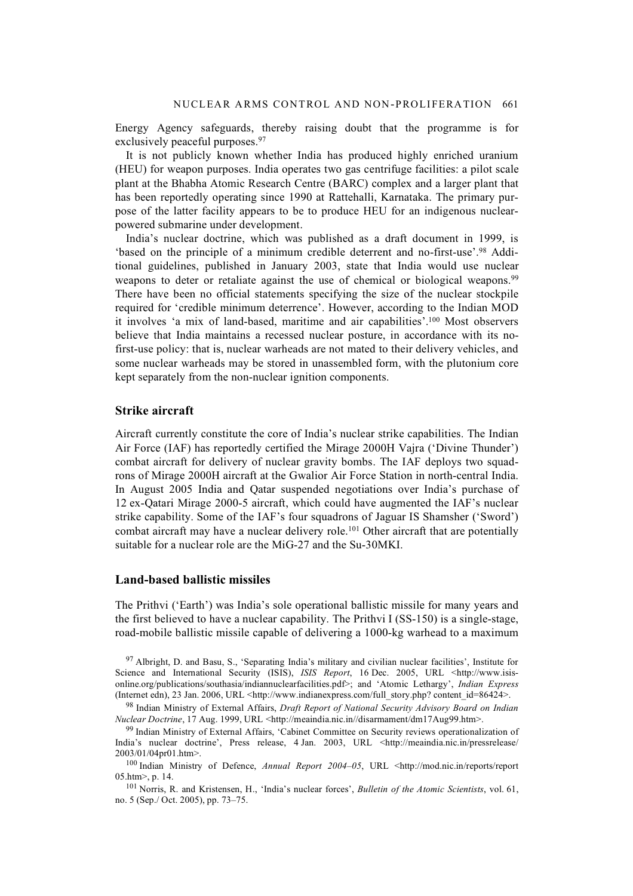Energy Agency safeguards, thereby raising doubt that the programme is for exclusively peaceful purposes.<sup>97</sup>

It is not publicly known whether India has produced highly enriched uranium (HEU) for weapon purposes. India operates two gas centrifuge facilities: a pilot scale plant at the Bhabha Atomic Research Centre (BARC) complex and a larger plant that has been reportedly operating since 1990 at Rattehalli, Karnataka. The primary purpose of the latter facility appears to be to produce HEU for an indigenous nuclearpowered submarine under development.

India's nuclear doctrine, which was published as a draft document in 1999, is 'based on the principle of a minimum credible deterrent and no-first-use'.98 Additional guidelines, published in January 2003, state that India would use nuclear weapons to deter or retaliate against the use of chemical or biological weapons.<sup>99</sup> There have been no official statements specifying the size of the nuclear stockpile required for 'credible minimum deterrence'. However, according to the Indian MOD it involves 'a mix of land-based, maritime and air capabilities'.100 Most observers believe that India maintains a recessed nuclear posture, in accordance with its nofirst-use policy: that is, nuclear warheads are not mated to their delivery vehicles, and some nuclear warheads may be stored in unassembled form, with the plutonium core kept separately from the non-nuclear ignition components.

### **Strike aircraft**

Aircraft currently constitute the core of India's nuclear strike capabilities. The Indian Air Force (IAF) has reportedly certified the Mirage 2000H Vajra ('Divine Thunder') combat aircraft for delivery of nuclear gravity bombs. The IAF deploys two squadrons of Mirage 2000H aircraft at the Gwalior Air Force Station in north-central India. In August 2005 India and Qatar suspended negotiations over India's purchase of 12 ex-Qatari Mirage 2000-5 aircraft, which could have augmented the IAF's nuclear strike capability. Some of the IAF's four squadrons of Jaguar IS Shamsher ('Sword') combat aircraft may have a nuclear delivery role.<sup>101</sup> Other aircraft that are potentially suitable for a nuclear role are the MiG-27 and the Su-30MKI.

### **Land-based ballistic missiles**

The Prithvi ('Earth') was India's sole operational ballistic missile for many years and the first believed to have a nuclear capability. The Prithvi I (SS-150) is a single-stage, road-mobile ballistic missile capable of delivering a 1000-kg warhead to a maximum

<sup>97</sup> Albright, D. and Basu, S., 'Separating India's military and civilian nuclear facilities', Institute for Science and International Security (ISIS), *ISIS Report*, 16 Dec. 2005, URL <http://www.isisonline.org/publications/southasia/indiannuclearfacilities.pdf>; and 'Atomic Lethargy', *Indian Express* (Internet edn), 23 Jan. 2006, URL <http://www.indianexpress.com/full\_story.php? content\_id=86424>.

<sup>98</sup> Indian Ministry of External Affairs, *Draft Report of National Security Advisory Board on Indian Nuclear Doctrine*, 17 Aug. 1999, URL <http://meaindia.nic.in//disarmament/dm17Aug99.htm>.

<sup>99</sup> Indian Ministry of External Affairs, 'Cabinet Committee on Security reviews operationalization of India's nuclear doctrine', Press release, 4 Jan. 2003, URL <http://meaindia.nic.in/pressrelease/ 2003/01/04pr01.htm>.

<sup>100</sup> Indian Ministry of Defence, *Annual Report 2004–05*, URL <http://mod.nic.in/reports/report 05.htm>, p. 14.

<sup>101</sup> Norris, R. and Kristensen, H., 'India's nuclear forces', *Bulletin of the Atomic Scientists*, vol. 61, no. 5 (Sep./ Oct. 2005), pp. 73–75.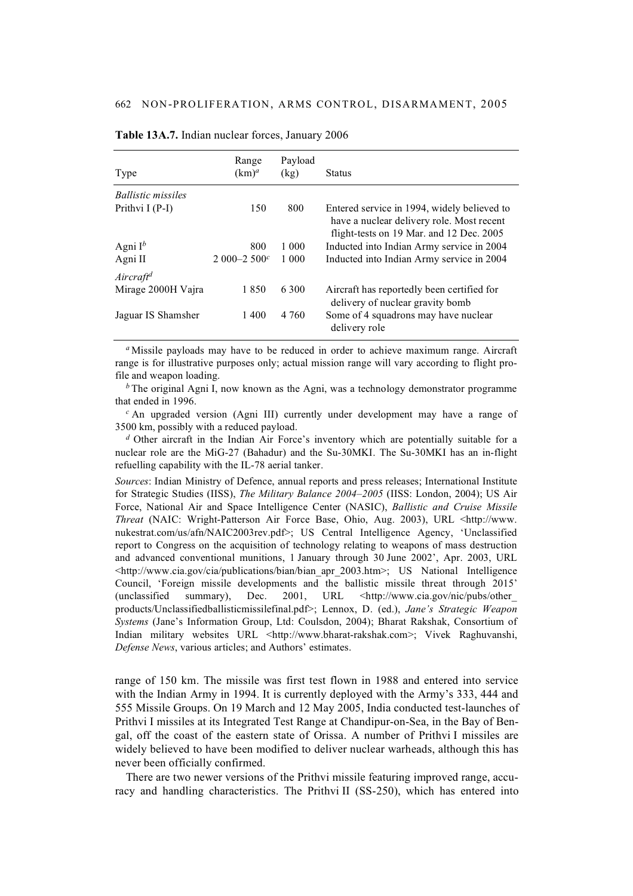| Type                      | Range<br>$(km)^a$ | Payload<br>(kg) | <b>Status</b>                                                                                                                        |
|---------------------------|-------------------|-----------------|--------------------------------------------------------------------------------------------------------------------------------------|
| <b>Ballistic missiles</b> |                   |                 |                                                                                                                                      |
| Prithvi I (P-I)           | 150               | 800             | Entered service in 1994, widely believed to<br>have a nuclear delivery role. Most recent<br>flight-tests on 19 Mar. and 12 Dec. 2005 |
| Agni $I^b$                | 800               | 1 000           | Inducted into Indian Army service in 2004                                                                                            |
| Agni II                   | 2 000-2 $500^c$   | 1 000           | Inducted into Indian Army service in 2004                                                                                            |
| Aircraft <sup>d</sup>     |                   |                 |                                                                                                                                      |
| Mirage 2000H Vajra        | 1850              | 6300            | Aircraft has reportedly been certified for<br>delivery of nuclear gravity bomb                                                       |
| Jaguar IS Shamsher        | 1400              | 4 760           | Some of 4 squadrons may have nuclear<br>delivery role                                                                                |

**Table 13A.7.** Indian nuclear forces, January 2006

*<sup>a</sup>*Missile payloads may have to be reduced in order to achieve maximum range. Aircraft range is for illustrative purposes only; actual mission range will vary according to flight profile and weapon loading.

*b* The original Agni I, now known as the Agni, was a technology demonstrator programme that ended in 1996.

*<sup>c</sup>* An upgraded version (Agni III) currently under development may have a range of 3500 km, possibly with a reduced payload.

 $d$  Other aircraft in the Indian Air Force's inventory which are potentially suitable for a nuclear role are the MiG-27 (Bahadur) and the Su-30MKI. The Su-30MKI has an in-flight refuelling capability with the IL-78 aerial tanker.

*Sources*: Indian Ministry of Defence, annual reports and press releases; International Institute for Strategic Studies (IISS), *The Military Balance 2004–2005* (IISS: London, 2004); US Air Force, National Air and Space Intelligence Center (NASIC), *Ballistic and Cruise Missile Threat* (NAIC: Wright-Patterson Air Force Base, Ohio, Aug. 2003), URL <http://www. nukestrat.com/us/afn/NAIC2003rev.pdf>; US Central Intelligence Agency, 'Unclassified report to Congress on the acquisition of technology relating to weapons of mass destruction and advanced conventional munitions, 1 January through 30 June 2002', Apr. 2003, URL <http://www.cia.gov/cia/publications/bian/bian\_apr\_2003.htm>; US National Intelligence Council, 'Foreign missile developments and the ballistic missile threat through 2015' (unclassified summary), Dec. 2001, URL <http://www.cia.gov/nic/pubs/other\_ products/Unclassifiedballisticmissilefinal.pdf>; Lennox, D. (ed.), *Jane's Strategic Weapon Systems* (Jane's Information Group, Ltd: Coulsdon, 2004); Bharat Rakshak, Consortium of Indian military websites URL <http://www.bharat-rakshak.com>; Vivek Raghuvanshi, *Defense News*, various articles; and Authors' estimates.

range of 150 km. The missile was first test flown in 1988 and entered into service with the Indian Army in 1994. It is currently deployed with the Army's 333, 444 and 555 Missile Groups. On 19 March and 12 May 2005, India conducted test-launches of Prithvi I missiles at its Integrated Test Range at Chandipur-on-Sea, in the Bay of Bengal, off the coast of the eastern state of Orissa. A number of Prithvi I missiles are widely believed to have been modified to deliver nuclear warheads, although this has never been officially confirmed.

There are two newer versions of the Prithvi missile featuring improved range, accuracy and handling characteristics. The Prithvi II (SS-250), which has entered into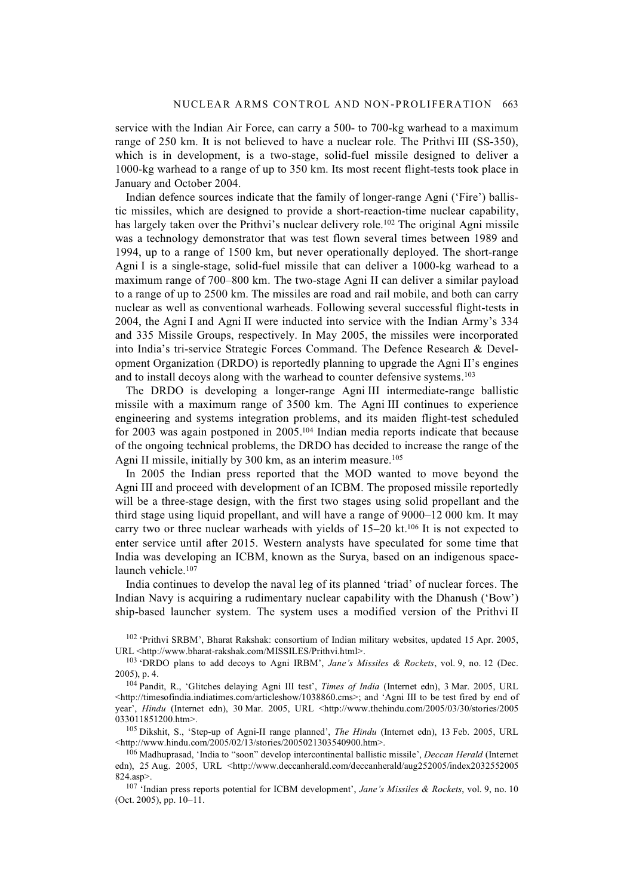service with the Indian Air Force, can carry a 500- to 700-kg warhead to a maximum range of 250 km. It is not believed to have a nuclear role. The Prithvi III (SS-350), which is in development, is a two-stage, solid-fuel missile designed to deliver a 1000-kg warhead to a range of up to 350 km. Its most recent flight-tests took place in January and October 2004.

Indian defence sources indicate that the family of longer-range Agni ('Fire') ballistic missiles, which are designed to provide a short-reaction-time nuclear capability, has largely taken over the Prithvi's nuclear delivery role.<sup>102</sup> The original Agni missile was a technology demonstrator that was test flown several times between 1989 and 1994, up to a range of 1500 km, but never operationally deployed. The short-range Agni I is a single-stage, solid-fuel missile that can deliver a 1000-kg warhead to a maximum range of 700–800 km. The two-stage Agni II can deliver a similar payload to a range of up to 2500 km. The missiles are road and rail mobile, and both can carry nuclear as well as conventional warheads. Following several successful flight-tests in 2004, the Agni I and Agni II were inducted into service with the Indian Army's 334 and 335 Missile Groups, respectively. In May 2005, the missiles were incorporated into India's tri-service Strategic Forces Command. The Defence Research & Development Organization (DRDO) is reportedly planning to upgrade the Agni II's engines and to install decoys along with the warhead to counter defensive systems.103

The DRDO is developing a longer-range Agni III intermediate-range ballistic missile with a maximum range of 3500 km. The Agni III continues to experience engineering and systems integration problems, and its maiden flight-test scheduled for 2003 was again postponed in 2005.104 Indian media reports indicate that because of the ongoing technical problems, the DRDO has decided to increase the range of the Agni II missile, initially by 300 km, as an interim measure.<sup>105</sup>

In 2005 the Indian press reported that the MOD wanted to move beyond the Agni III and proceed with development of an ICBM. The proposed missile reportedly will be a three-stage design, with the first two stages using solid propellant and the third stage using liquid propellant, and will have a range of 9000–12 000 km. It may carry two or three nuclear warheads with yields of 15–20 kt.<sup>106</sup> It is not expected to enter service until after 2015. Western analysts have speculated for some time that India was developing an ICBM, known as the Surya, based on an indigenous spacelaunch vehicle.<sup>107</sup>

India continues to develop the naval leg of its planned 'triad' of nuclear forces. The Indian Navy is acquiring a rudimentary nuclear capability with the Dhanush ('Bow') ship-based launcher system. The system uses a modified version of the Prithvi II

102 'Prithvi SRBM', Bharat Rakshak: consortium of Indian military websites, updated 15 Apr. 2005, URL <http://www.bharat-rakshak.com/MISSILES/Prithvi.html>.

103 'DRDO plans to add decoys to Agni IRBM', *Jane's Missiles & Rockets*, vol. 9, no. 12 (Dec. 2005), p. 4.

104 Pandit, R., 'Glitches delaying Agni III test', *Times of India* (Internet edn), 3 Mar. 2005, URL <http://timesofindia.indiatimes.com/articleshow/1038860.cms>; and 'Agni III to be test fired by end of year', *Hindu* (Internet edn), 30 Mar. 2005, URL <http://www.thehindu.com/2005/03/30/stories/2005 033011851200.htm>.

105 Dikshit, S., 'Step-up of Agni-II range planned', *The Hindu* (Internet edn), 13 Feb. 2005, URL <http://www.hindu.com/2005/02/13/stories/2005021303540900.htm>.

106 Madhuprasad, 'India to "soon" develop intercontinental ballistic missile', *Deccan Herald* (Internet edn), 25 Aug. 2005, URL <http://www.deccanherald.com/deccanherald/aug252005/index2032552005 824.asp>.

107 'Indian press reports potential for ICBM development', *Jane's Missiles & Rockets*, vol. 9, no. 10 (Oct. 2005), pp. 10–11.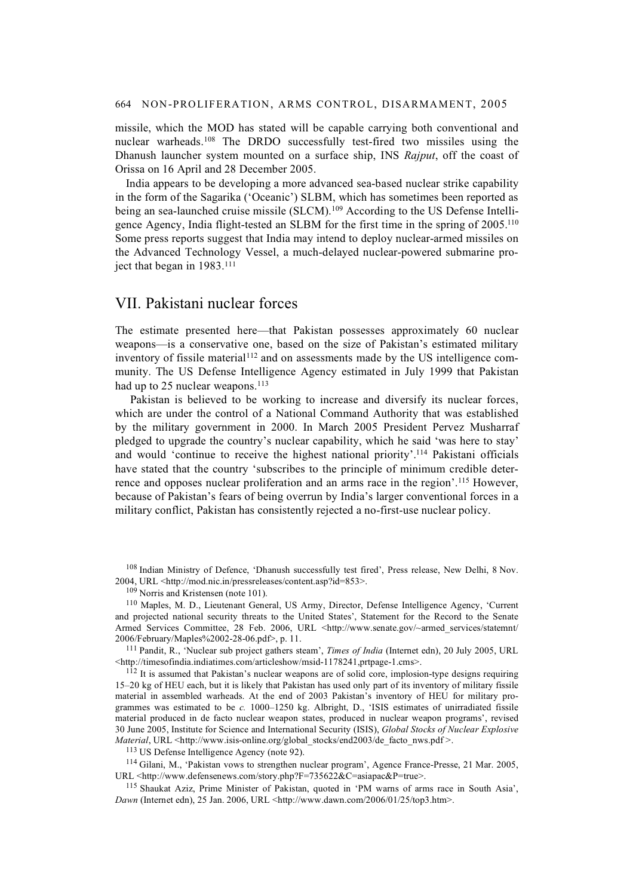#### 664 NON-PROLIFERATION, ARMS CONTROL, DISARMAMENT, 2005

missile, which the MOD has stated will be capable carrying both conventional and nuclear warheads.108 The DRDO successfully test-fired two missiles using the Dhanush launcher system mounted on a surface ship, INS *Rajput*, off the coast of Orissa on 16 April and 28 December 2005.

India appears to be developing a more advanced sea-based nuclear strike capability in the form of the Sagarika ('Oceanic') SLBM, which has sometimes been reported as being an sea-launched cruise missile (SLCM).<sup>109</sup> According to the US Defense Intelligence Agency, India flight-tested an SLBM for the first time in the spring of 2005.110 Some press reports suggest that India may intend to deploy nuclear-armed missiles on the Advanced Technology Vessel, a much-delayed nuclear-powered submarine project that began in 1983.111

# VII. Pakistani nuclear forces

The estimate presented here—that Pakistan possesses approximately 60 nuclear weapons—is a conservative one, based on the size of Pakistan's estimated military inventory of fissile material<sup>112</sup> and on assessments made by the US intelligence community. The US Defense Intelligence Agency estimated in July 1999 that Pakistan had up to 25 nuclear weapons.<sup>113</sup>

Pakistan is believed to be working to increase and diversify its nuclear forces, which are under the control of a National Command Authority that was established by the military government in 2000. In March 2005 President Pervez Musharraf pledged to upgrade the country's nuclear capability, which he said 'was here to stay' and would 'continue to receive the highest national priority'.114 Pakistani officials have stated that the country 'subscribes to the principle of minimum credible deterrence and opposes nuclear proliferation and an arms race in the region'.115 However, because of Pakistan's fears of being overrun by India's larger conventional forces in a military conflict, Pakistan has consistently rejected a no-first-use nuclear policy.

108 Indian Ministry of Defence, 'Dhanush successfully test fired', Press release, New Delhi, 8 Nov. 2004, URL <http://mod.nic.in/pressreleases/content.asp?id=853>.

109 Norris and Kristensen (note 101).

110 Maples, M. D., Lieutenant General, US Army, Director, Defense Intelligence Agency, 'Current and projected national security threats to the United States', Statement for the Record to the Senate Armed Services Committee, 28 Feb. 2006, URL <http://www.senate.gov/~armed\_services/statemnt/ 2006/February/Maples%2002-28-06.pdf>, p. 11.

111 Pandit, R., 'Nuclear sub project gathers steam', *Times of India* (Internet edn), 20 July 2005, URL <http://timesofindia.indiatimes.com/articleshow/msid-1178241,prtpage-1.cms>.

<sup>112</sup> It is assumed that Pakistan's nuclear weapons are of solid core, implosion-type designs requiring 15–20 kg of HEU each, but it is likely that Pakistan has used only part of its inventory of military fissile material in assembled warheads. At the end of 2003 Pakistan's inventory of HEU for military programmes was estimated to be *c.* 1000–1250 kg. Albright, D., 'ISIS estimates of unirradiated fissile material produced in de facto nuclear weapon states, produced in nuclear weapon programs', revised 30 June 2005, Institute for Science and International Security (ISIS), *Global Stocks of Nuclear Explosive Material*, URL <http://www.isis-online.org/global\_stocks/end2003/de\_facto\_nws.pdf >.

113 US Defense Intelligence Agency (note 92).

114 Gilani, M., 'Pakistan vows to strengthen nuclear program', Agence France-Presse, 21 Mar. 2005, URL <http://www.defensenews.com/story.php?F=735622&C=asiapac&P=true>.

<sup>115</sup> Shaukat Aziz, Prime Minister of Pakistan, quoted in 'PM warns of arms race in South Asia', *Dawn* (Internet edn), 25 Jan. 2006, URL <http://www.dawn.com/2006/01/25/top3.htm>.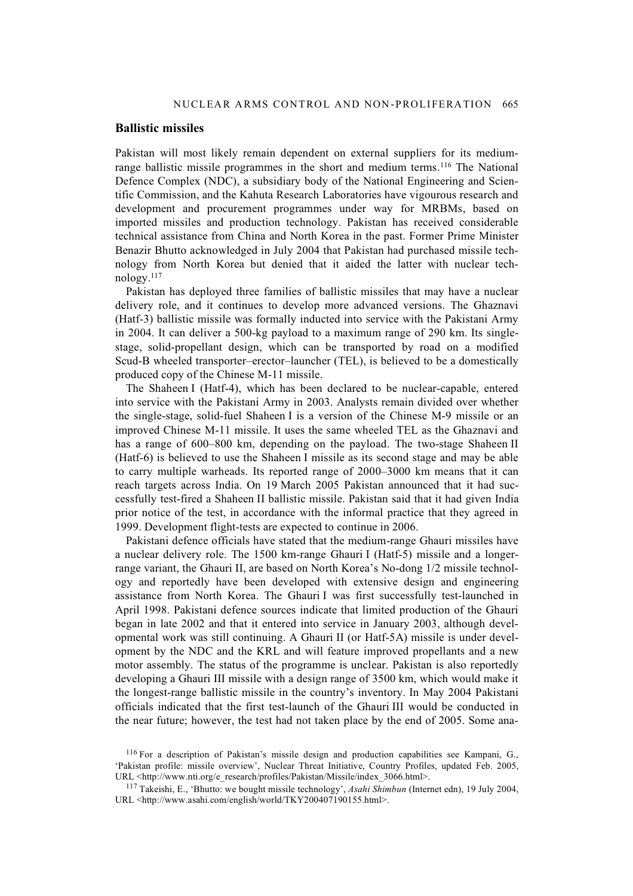#### **Ballistic missiles**

Pakistan will most likely remain dependent on external suppliers for its mediumrange ballistic missile programmes in the short and medium terms.116 The National Defence Complex (NDC), a subsidiary body of the National Engineering and Scientific Commission, and the Kahuta Research Laboratories have vigourous research and development and procurement programmes under way for MRBMs, based on imported missiles and production technology. Pakistan has received considerable technical assistance from China and North Korea in the past. Former Prime Minister Benazir Bhutto acknowledged in July 2004 that Pakistan had purchased missile technology from North Korea but denied that it aided the latter with nuclear technology.117

Pakistan has deployed three families of ballistic missiles that may have a nuclear delivery role, and it continues to develop more advanced versions. The Ghaznavi (Hatf-3) ballistic missile was formally inducted into service with the Pakistani Army in 2004. It can deliver a 500-kg payload to a maximum range of 290 km. Its singlestage, solid-propellant design, which can be transported by road on a modified Scud-B wheeled transporter–erector–launcher (TEL), is believed to be a domestically produced copy of the Chinese M-11 missile.

The Shaheen I (Hatf-4), which has been declared to be nuclear-capable, entered into service with the Pakistani Army in 2003. Analysts remain divided over whether the single-stage, solid-fuel Shaheen I is a version of the Chinese M-9 missile or an improved Chinese M-11 missile. It uses the same wheeled TEL as the Ghaznavi and has a range of 600–800 km, depending on the payload. The two-stage Shaheen II (Hatf-6) is believed to use the Shaheen I missile as its second stage and may be able to carry multiple warheads. Its reported range of 2000–3000 km means that it can reach targets across India. On 19 March 2005 Pakistan announced that it had successfully test-fired a Shaheen II ballistic missile. Pakistan said that it had given India prior notice of the test, in accordance with the informal practice that they agreed in 1999. Development flight-tests are expected to continue in 2006.

Pakistani defence officials have stated that the medium-range Ghauri missiles have a nuclear delivery role. The 1500 km-range Ghauri I (Hatf-5) missile and a longerrange variant, the Ghauri II, are based on North Korea's No-dong 1/2 missile technology and reportedly have been developed with extensive design and engineering assistance from North Korea. The Ghauri I was first successfully test-launched in April 1998. Pakistani defence sources indicate that limited production of the Ghauri began in late 2002 and that it entered into service in January 2003, although developmental work was still continuing. A Ghauri II (or Hatf-5A) missile is under development by the NDC and the KRL and will feature improved propellants and a new motor assembly. The status of the programme is unclear. Pakistan is also reportedly developing a Ghauri III missile with a design range of 3500 km, which would make it the longest-range ballistic missile in the country's inventory. In May 2004 Pakistani officials indicated that the first test-launch of the Ghauri III would be conducted in the near future; however, the test had not taken place by the end of 2005. Some ana-

<sup>116</sup> For a description of Pakistan's missile design and production capabilities see Kampani, G., 'Pakistan profile: missile overview', Nuclear Threat Initiative, Country Profiles, updated Feb. 2005, URL <http://www.nti.org/e\_research/profiles/Pakistan/Missile/index\_3066.html>.

<sup>117</sup> Takeishi, E., 'Bhutto: we bought missile technology', *Asahi Shimbun* (Internet edn), 19 July 2004, URL <http://www.asahi.com/english/world/TKY200407190155.html>.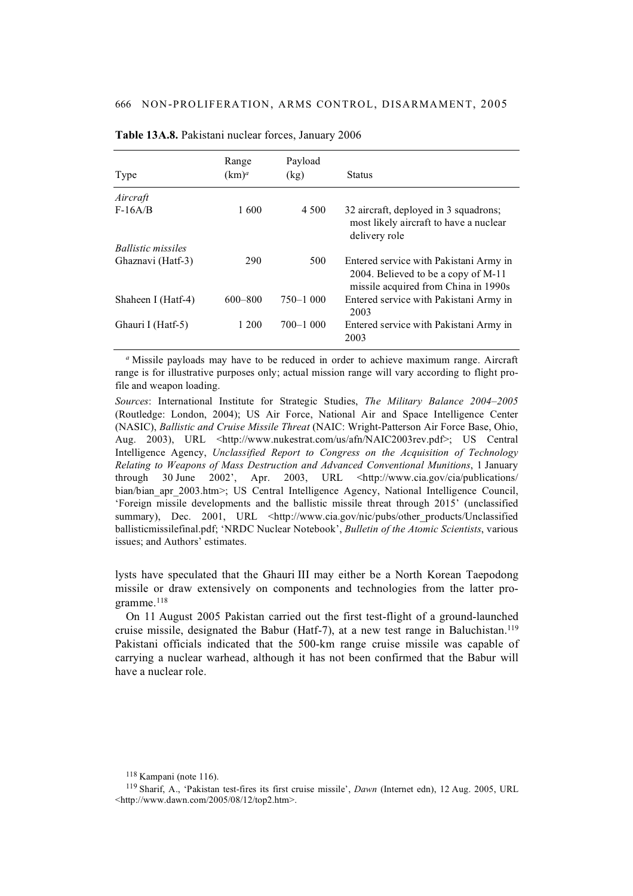| Type                      | Range<br>$(km)^a$ | Payload<br>(kg) | <b>Status</b>                                                                                                         |
|---------------------------|-------------------|-----------------|-----------------------------------------------------------------------------------------------------------------------|
| Aircraft                  |                   |                 |                                                                                                                       |
| $F-16A/B$                 | 1 600             | 4 500           | 32 aircraft, deployed in 3 squadrons;<br>most likely aircraft to have a nuclear<br>delivery role                      |
| <b>Ballistic missiles</b> |                   |                 |                                                                                                                       |
| Ghaznavi (Hatf-3)         | 290               | 500             | Entered service with Pakistani Army in<br>2004. Believed to be a copy of M-11<br>missile acquired from China in 1990s |
| Shaheen I (Hatf-4)        | $600 - 800$       | $750 - 1000$    | Entered service with Pakistani Army in<br>2003                                                                        |
| Ghauri I (Hatf-5)         | 1 200             | $700 - 1000$    | Entered service with Pakistani Army in<br>2003                                                                        |

**Table 13A.8.** Pakistani nuclear forces, January 2006

*<sup>a</sup>* Missile payloads may have to be reduced in order to achieve maximum range. Aircraft range is for illustrative purposes only; actual mission range will vary according to flight profile and weapon loading.

*Sources*: International Institute for Strategic Studies, *The Military Balance 2004–2005* (Routledge: London, 2004); US Air Force, National Air and Space Intelligence Center (NASIC), *Ballistic and Cruise Missile Threat* (NAIC: Wright-Patterson Air Force Base, Ohio, Aug. 2003), URL <http://www.nukestrat.com/us/afn/NAIC2003rev.pdf>; US Central Intelligence Agency, *Unclassified Report to Congress on the Acquisition of Technology Relating to Weapons of Mass Destruction and Advanced Conventional Munitions*, 1 January through 30 June 2002', Apr. 2003, URL  $\lt$ http://www.cia.gov/cia/publications/ bian/bian apr 2003.htm>; US Central Intelligence Agency, National Intelligence Council, 'Foreign missile developments and the ballistic missile threat through 2015' (unclassified summary), Dec. 2001, URL <http://www.cia.gov/nic/pubs/other\_products/Unclassified ballisticmissilefinal.pdf; 'NRDC Nuclear Notebook', *Bulletin of the Atomic Scientists*, various issues; and Authors' estimates.

lysts have speculated that the Ghauri III may either be a North Korean Taepodong missile or draw extensively on components and technologies from the latter programme.118

On 11 August 2005 Pakistan carried out the first test-flight of a ground-launched cruise missile, designated the Babur (Hatf-7), at a new test range in Baluchistan.119 Pakistani officials indicated that the 500-km range cruise missile was capable of carrying a nuclear warhead, although it has not been confirmed that the Babur will have a nuclear role.

<sup>118</sup> Kampani (note 116).

<sup>119</sup> Sharif, A., 'Pakistan test-fires its first cruise missile', *Dawn* (Internet edn), 12 Aug. 2005, URL <http://www.dawn.com/2005/08/12/top2.htm>.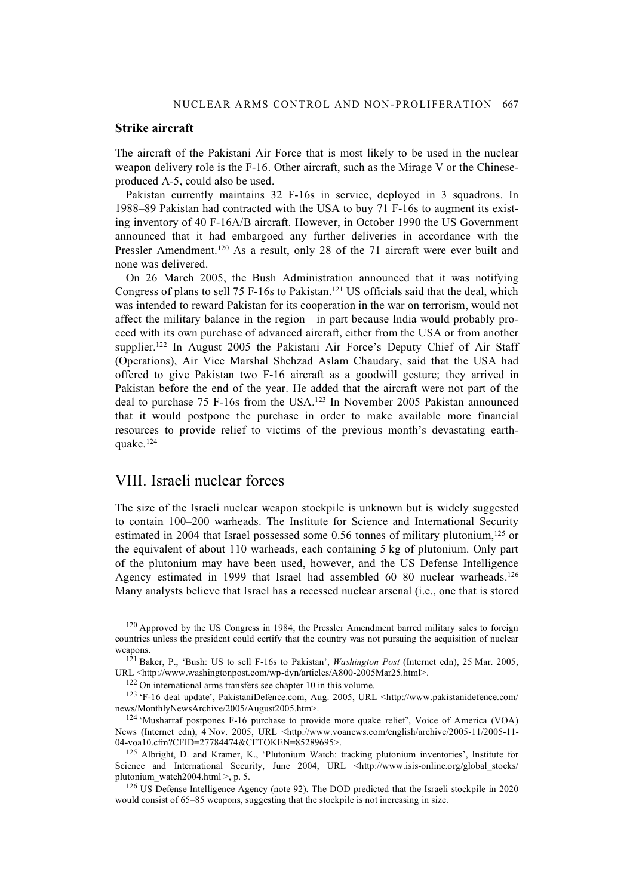### **Strike aircraft**

The aircraft of the Pakistani Air Force that is most likely to be used in the nuclear weapon delivery role is the F-16. Other aircraft, such as the Mirage V or the Chineseproduced A-5, could also be used.

Pakistan currently maintains 32 F-16s in service, deployed in 3 squadrons. In 1988–89 Pakistan had contracted with the USA to buy 71 F-16s to augment its existing inventory of 40 F-16A/B aircraft. However, in October 1990 the US Government announced that it had embargoed any further deliveries in accordance with the Pressler Amendment.120 As a result, only 28 of the 71 aircraft were ever built and none was delivered.

On 26 March 2005, the Bush Administration announced that it was notifying Congress of plans to sell 75 F-16s to Pakistan.121 US officials said that the deal, which was intended to reward Pakistan for its cooperation in the war on terrorism, would not affect the military balance in the region—in part because India would probably proceed with its own purchase of advanced aircraft, either from the USA or from another supplier.122 In August 2005 the Pakistani Air Force's Deputy Chief of Air Staff (Operations), Air Vice Marshal Shehzad Aslam Chaudary, said that the USA had offered to give Pakistan two F-16 aircraft as a goodwill gesture; they arrived in Pakistan before the end of the year. He added that the aircraft were not part of the deal to purchase 75 F-16s from the USA.123 In November 2005 Pakistan announced that it would postpone the purchase in order to make available more financial resources to provide relief to victims of the previous month's devastating earthquake.124

# VIII. Israeli nuclear forces

The size of the Israeli nuclear weapon stockpile is unknown but is widely suggested to contain 100–200 warheads. The Institute for Science and International Security estimated in 2004 that Israel possessed some 0.56 tonnes of military plutonium,125 or the equivalent of about 110 warheads, each containing 5 kg of plutonium. Only part of the plutonium may have been used, however, and the US Defense Intelligence Agency estimated in 1999 that Israel had assembled 60–80 nuclear warheads.126 Many analysts believe that Israel has a recessed nuclear arsenal (i.e., one that is stored

<sup>&</sup>lt;sup>120</sup> Approved by the US Congress in 1984, the Pressler Amendment barred military sales to foreign countries unless the president could certify that the country was not pursuing the acquisition of nuclear weapons.

<sup>121</sup> Baker, P., 'Bush: US to sell F-16s to Pakistan', *Washington Post* (Internet edn), 25 Mar. 2005, URL <http://www.washingtonpost.com/wp-dyn/articles/A800-2005Mar25.html>.

<sup>122</sup> On international arms transfers see chapter 10 in this volume.

<sup>123 &#</sup>x27;F-16 deal update', PakistaniDefence.com, Aug. 2005, URL <http://www.pakistanidefence.com/ news/MonthlyNewsArchive/2005/August2005.htm>.

 $124$  'Musharraf postpones F-16 purchase to provide more quake relief', Voice of America (VOA) News (Internet edn), 4 Nov. 2005, URL <http://www.voanews.com/english/archive/2005-11/2005-11-04-voa10.cfm?CFID=27784474&CFTOKEN=85289695>.

<sup>125</sup> Albright, D. and Kramer, K., 'Plutonium Watch: tracking plutonium inventories', Institute for Science and International Security, June 2004, URL <http://www.isis-online.org/global stocks/ plutonium watch $2004$ .html  $>$ , p. 5.

<sup>126</sup> US Defense Intelligence Agency (note 92). The DOD predicted that the Israeli stockpile in 2020 would consist of 65–85 weapons, suggesting that the stockpile is not increasing in size.